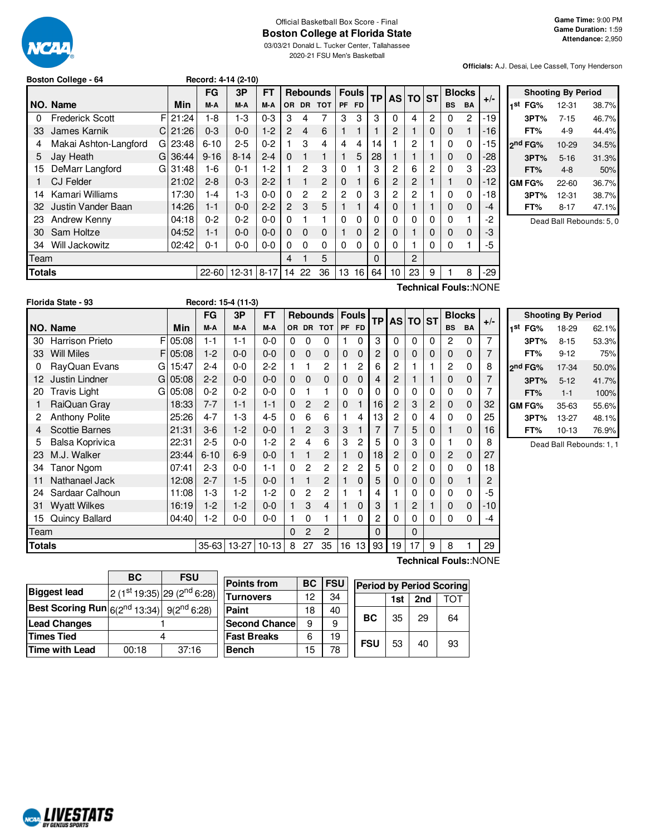

#### Official Basketball Box Score - Final **Boston College at Florida State**

03/03/21 Donald L. Tucker Center, Tallahassee 2020-21 FSU Men's Basketball

**Officials:** A.J. Desai, Lee Cassell, Tony Henderson

| Boston College - 64 |  | Record: 4-14 (2-10) |  |
|---------------------|--|---------------------|--|
|                     |  |                     |  |

 $F$  05:08 G 15:47 G 05:08 G 05:08

|        |                             |         | FG        | 3P        | FT       |                |                | <b>Rebounds</b> | <b>Fouls</b>   |                 | <b>TP</b> |                 | <b>ASITO</b>   | <b>ST</b> |             | <b>Blocks</b> |       |
|--------|-----------------------------|---------|-----------|-----------|----------|----------------|----------------|-----------------|----------------|-----------------|-----------|-----------------|----------------|-----------|-------------|---------------|-------|
|        | NO. Name                    | Min     | M-A       | M-A       | M-A      | OR.            | <b>DR</b>      | <b>TOT</b>      | PF             | <b>FD</b>       |           |                 |                |           | <b>BS</b>   | <b>BA</b>     | $+/-$ |
| 0      | <b>Frederick Scott</b>      | F121:24 | 1-8       | $1 - 3$   | $0 - 3$  | З              | 4              | 7               | 3              | 3               | 3         | 0               | 4              | 2         | 0           | 2             | $-19$ |
| 33     | James Karnik<br>СI          | 21:26   | $0 - 3$   | $0 - 0$   | $1-2$    | $\overline{2}$ | $\overline{4}$ | 6               |                |                 |           | 2               |                | 0         | 0           |               | -16   |
| 4      | Makai Ashton-Langford<br>GI | 23:48   | $6 - 10$  | $2 - 5$   | $0 - 2$  |                | 3              | 4               | 4              | 4               | 14        |                 | 2              |           | 0           | 0             | -15   |
| 5      | Jay Heath<br>GI             | 36:44   | $9 - 16$  | $8 - 14$  | $2 - 4$  | 0              |                | 1               |                | 5               | 28        |                 |                |           | $\mathbf 0$ | 0             | $-28$ |
| 15     | DeMarr Langford<br>G        | 31:48   | 1-6       | $0 - 1$   | $1-2$    |                | 2              | 3               | 0              |                 | 3         | 2               | 6              | 2         | 0           | 3             | -23   |
|        | <b>CJ Felder</b>            | 21:02   | $2 - 8$   | $0 - 3$   | $2 - 2$  |                |                | 2               | 0              |                 | 6         | 2               | 2              |           |             | 0             | $-12$ |
| 14     | Kamari Williams             | 17:30   | 1-4       | $1-3$     | $0 - 0$  | 0              | $\overline{2}$ | 2               | $\overline{2}$ | $\Omega$        | 3         | 2               | $\overline{2}$ |           | 0           | 0             | $-18$ |
| 32     | Justin Vander Baan          | 14:26   | $1 - 1$   | $0 - 0$   | $2 - 2$  | $\overline{2}$ | 3              | 5               |                |                 | 4         | 0               |                |           | 0           | 0             | -4    |
| 23     | Andrew Kenny                | 04:18   | $0 - 2$   | $0 - 2$   | $0 - 0$  | 0              |                | 1               | 0              | $\Omega$        | 0         | 0               | 0              | 0         | 0           |               | -2    |
| 30     | Sam Holtze                  | 04:52   | $1 - 1$   | $0 - 0$   | $0 - 0$  | $\Omega$       | $\Omega$       | $\mathbf 0$     |                | $\Omega$        | 2         | 0               |                | 0         | $\Omega$    | 0             | -3    |
| 34     | Will Jackowitz              | 02:42   | $0 - 1$   | $0 - 0$   | $0 - 0$  | 0              | 0              | $\Omega$        | 0              | $\Omega$        | 0         | 0               |                | 0         | 0           |               | -5    |
| Team   |                             |         |           |           |          | 4              |                | 5               |                |                 | $\Omega$  |                 | $\overline{2}$ |           |             |               |       |
| Totals |                             |         | $22 - 60$ | $12 - 31$ | $8 - 17$ | 14             | 22             | 36              | 13             | 16 <sub>1</sub> | 64        | 10 <sup>°</sup> | 23             | 9         |             | 8             | -29   |
|        | Technical Fouls::NONE       |         |           |           |          |                |                |                 |                |                 |           |                 |                |           |             |               |       |

**Shooting By Period 1 st FG%** 12-31 38.7% **3PT%** 7-15 46.7% **FT%** 4-9 44.4% **2 nd FG%** 10-29 34.5% **3PT%** 5-16 31.3% **FT%** 4-8 50% **GM FG%** 22-60 36.7% **3PT%** 12-31 38.7% **FT%** 8-17 47.1%

Dead Ball Rebounds: 5, 0

| Tean               |         |                     |                        |     | 4 |                            |        |    | υ  |    | ∠  |   |           |                              |       |
|--------------------|---------|---------------------|------------------------|-----|---|----------------------------|--------|----|----|----|----|---|-----------|------------------------------|-------|
| <b>Totals</b>      |         |                     | 22-60 12-31 8-17 14 22 |     |   | - 36                       | 13     | 16 | 64 | 10 | 23 | 9 |           | 8                            | $-29$ |
|                    |         |                     |                        |     |   |                            |        |    |    |    |    |   |           | <b>Technical Fouls::NONE</b> |       |
| Florida State - 93 |         | Record: 15-4 (11-3) |                        |     |   |                            |        |    |    |    |    |   |           |                              |       |
|                    |         | FG                  | 3P                     | FТ  |   | Rebounds Fouls TP AS TO ST |        |    |    |    |    |   |           | <b>Blocks</b>                |       |
| NO. Name           | Min     | M-A                 | M-A                    | M-A |   | OR DR TOT                  | IPF FD |    |    |    |    |   | <b>BS</b> | <b>BA</b>                    | $+/-$ |
| 30 Harrison Prieto | F 05:08 | -1                  | 1-1                    | 0-0 |   |                            |        |    |    |    |    |   |           |                              |       |

33 Will Miles F 05:08 1-2 0-0 0-0 0 0 0 0 0 2 0 0 0 0 0 0 7 0 RayQuan Evans G | 15:47 | 2-4 | 0-0 | 2-2 | 1 | 1 | 2 | 1 | 2 | 0 | 2 | 1 | 1 | 2 | 0 | 8 12 Justin Lindner G 05:08 2-2 0-0 0-0 0 0 0 0 0 0 4 2 1 1 1 0 0 7 20 Travis Light G 05:08 0-2 0-2 0-0 0 1 1 0 0 0 0 0 0 0 0 0 7 1 RaiQuan Gray 18:33 7-7 1-1 1-1 0 2 2 0 1 16 2 3 2 0 0 32 2 Anthony Polite 25:26 4-7 1-3 4-5 0 6 6 1 4 13 2 0 4 0 0 25 4 Scottie Barnes 21:31 3-6 1-2 0-0 1 2 3 3 1 7 7 5 0 1 0 16 5 Balsa Koprivica 22:31 2-5 0-0 1-2 2 4 6 3 2 5 0 3 0 1 0 8 23 M.J. Walker 23:44 6-10 6-9 0-0 1 1 2 1 0 18 2 0 0 2 0 27 34 Tanor Ngom 07:41 2-3 0-0 1-1 0 2 2 2 2 5 0 2 0 0 0 18 11 Nathanael Jack 12:08 2-7 1-5 0-0 1 1 2 1 0 5 0 0 0 0 0 1 2 24 Sardaar Calhoun 11:08 | 1-3 | 1-2 | 1-2 | 0 2 2 | 1 1 | 4 | 1 | 0 | 0 | 0 | 0 | -5 31 Wyatt Wilkes | 16:19 | 1-2 | 1-2 | 0-0 | 1 3 4 | 1 0 | 3 | 1 | 2 | 1 | 0 0 | -10 15 Quincy Ballard 04:40 1-2 0-0 0-0 1 0 1 1 0 2 0 0 0 0 0 -4

**Totals** 35-63 13-27 10-13 8 27 35 16 13 93 19 17 9 8 1 29

Team 0 2 2 0 0

| <b>Shooting By Period</b> |           |       |  |  |  |  |  |  |  |  |  |
|---------------------------|-----------|-------|--|--|--|--|--|--|--|--|--|
| 1st<br>FG%                | 18-29     | 62.1% |  |  |  |  |  |  |  |  |  |
| 3PT%                      | $8 - 15$  | 53.3% |  |  |  |  |  |  |  |  |  |
| FT%                       | $9 - 12$  | 75%   |  |  |  |  |  |  |  |  |  |
| 2 <sup>nd</sup> FG%       | 17-34     | 50.0% |  |  |  |  |  |  |  |  |  |
| 3PT%                      | $5 - 12$  | 41.7% |  |  |  |  |  |  |  |  |  |
| FT%                       | $1 - 1$   | 100%  |  |  |  |  |  |  |  |  |  |
| GM FG%                    | $35-63$   | 55.6% |  |  |  |  |  |  |  |  |  |
| 3PT%                      | 13-27     | 48.1% |  |  |  |  |  |  |  |  |  |
| FT%                       | $10 - 13$ | 76.9% |  |  |  |  |  |  |  |  |  |

Dead Ball Rebounds: 1, 1

|                                                            | BC    | <b>FSU</b>                              |   |  |  |
|------------------------------------------------------------|-------|-----------------------------------------|---|--|--|
| <b>Biggest lead</b>                                        |       | $2(1st19:35)$ 29 (2 <sup>nd</sup> 6:28) | F |  |  |
| <b>Best Scoring Run</b> $6(2^{nd} 13:34)$ $9(2^{nd} 6:28)$ |       |                                         |   |  |  |
| <b>Lead Changes</b>                                        |       |                                         |   |  |  |
| Times Tied                                                 |       |                                         |   |  |  |
| <b>Time with Lead</b>                                      | 00:18 | 37:16                                   |   |  |  |
|                                                            |       |                                         |   |  |  |

| <b>Points from</b> | BС | <b>FSU</b> | <b>Period by Period Scoring</b> |            |     |     |     |  |  |
|--------------------|----|------------|---------------------------------|------------|-----|-----|-----|--|--|
| Turnovers          | 12 | 34         |                                 |            | 1st | 2nd | ΤΩΤ |  |  |
| Paint              | 18 | 40         |                                 |            |     |     |     |  |  |
| Second Chancel     | 9  | 9          |                                 | <b>BC</b>  | 35  | 29  | 64  |  |  |
| <b>Fast Breaks</b> | 6  | 19         |                                 | <b>FSU</b> |     |     |     |  |  |
| Bench              | 15 | 78         |                                 |            | 53  | 40  | 93  |  |  |

**Technical Fouls:**:NONE

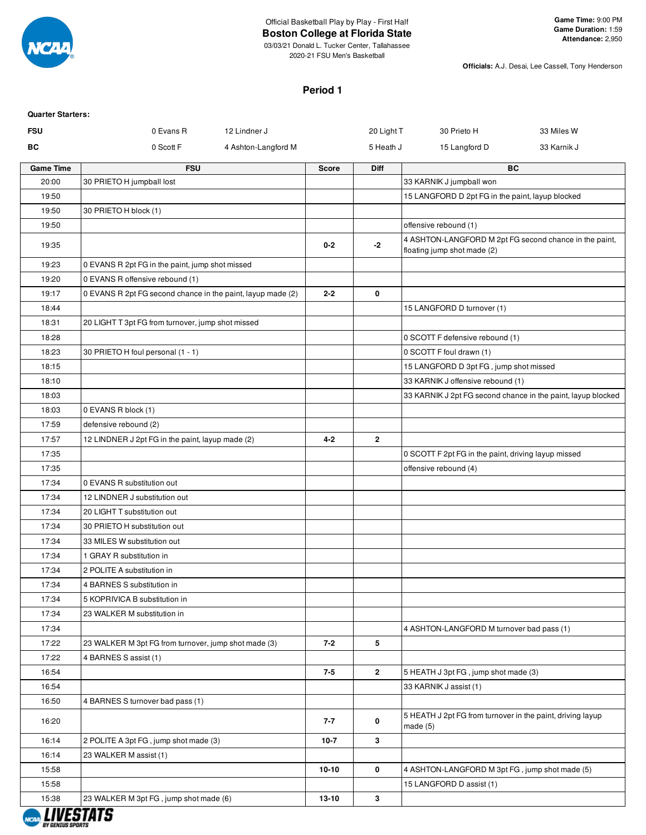

## Official Basketball Play by Play - First Half

**Boston College at Florida State**

03/03/21 Donald L. Tucker Center, Tallahassee 2020-21 FSU Men's Basketball

**Officials:** A.J. Desai, Lee Cassell, Tony Henderson

#### **Period 1**

| <b>Quarter Starters:</b> |                                                             |                     |           |                 |                                                                                       |                                                              |
|--------------------------|-------------------------------------------------------------|---------------------|-----------|-----------------|---------------------------------------------------------------------------------------|--------------------------------------------------------------|
| <b>FSU</b>               | 0 Evans R                                                   | 12 Lindner J        |           | 20 Light T      | 30 Prieto H                                                                           | 33 Miles W                                                   |
| ВC                       | 0 Scott F                                                   | 4 Ashton-Langford M |           | 5 Heath J       | 15 Langford D                                                                         | 33 Karnik J                                                  |
| <b>Game Time</b>         | <b>FSU</b>                                                  |                     | Score     | Diff            |                                                                                       | <b>BC</b>                                                    |
| 20:00                    | 30 PRIETO H jumpball lost                                   |                     |           |                 | 33 KARNIK J jumpball won                                                              |                                                              |
| 19:50                    |                                                             |                     |           |                 | 15 LANGFORD D 2pt FG in the paint, layup blocked                                      |                                                              |
| 19:50                    | 30 PRIETO H block (1)                                       |                     |           |                 |                                                                                       |                                                              |
| 19:50                    |                                                             |                     |           |                 | offensive rebound (1)                                                                 |                                                              |
| 19:35                    |                                                             |                     | $0 - 2$   | -2              | 4 ASHTON-LANGFORD M 2pt FG second chance in the paint,<br>floating jump shot made (2) |                                                              |
| 19:23                    | 0 EVANS R 2pt FG in the paint, jump shot missed             |                     |           |                 |                                                                                       |                                                              |
| 19:20                    | 0 EVANS R offensive rebound (1)                             |                     |           |                 |                                                                                       |                                                              |
| 19:17                    | 0 EVANS R 2pt FG second chance in the paint, layup made (2) |                     | $2 - 2$   | 0               |                                                                                       |                                                              |
| 18:44                    |                                                             |                     |           |                 | 15 LANGFORD D turnover (1)                                                            |                                                              |
| 18:31                    | 20 LIGHT T 3pt FG from turnover, jump shot missed           |                     |           |                 |                                                                                       |                                                              |
| 18:28                    |                                                             |                     |           |                 | 0 SCOTT F defensive rebound (1)                                                       |                                                              |
| 18:23                    | 30 PRIETO H foul personal (1 - 1)                           |                     |           |                 | 0 SCOTT F foul drawn (1)                                                              |                                                              |
| 18:15                    |                                                             |                     |           |                 | 15 LANGFORD D 3pt FG, jump shot missed                                                |                                                              |
| 18:10                    |                                                             |                     |           |                 | 33 KARNIK J offensive rebound (1)                                                     |                                                              |
| 18:03                    |                                                             |                     |           |                 |                                                                                       | 33 KARNIK J 2pt FG second chance in the paint, layup blocked |
| 18:03                    | 0 EVANS R block (1)                                         |                     |           |                 |                                                                                       |                                                              |
| 17:59                    | defensive rebound (2)                                       |                     |           |                 |                                                                                       |                                                              |
| 17:57                    | 12 LINDNER J 2pt FG in the paint, layup made (2)            |                     | $4 - 2$   | $\mathbf{2}$    |                                                                                       |                                                              |
| 17:35                    |                                                             |                     |           |                 | 0 SCOTT F 2pt FG in the paint, driving layup missed                                   |                                                              |
| 17:35                    |                                                             |                     |           |                 | offensive rebound (4)                                                                 |                                                              |
| 17:34                    | 0 EVANS R substitution out                                  |                     |           |                 |                                                                                       |                                                              |
| 17:34                    | 12 LINDNER J substitution out                               |                     |           |                 |                                                                                       |                                                              |
| 17:34                    | 20 LIGHT T substitution out                                 |                     |           |                 |                                                                                       |                                                              |
| 17:34                    | 30 PRIETO H substitution out                                |                     |           |                 |                                                                                       |                                                              |
| 17:34                    | 33 MILES W substitution out                                 |                     |           |                 |                                                                                       |                                                              |
| 17:34                    | 1 GRAY R substitution in                                    |                     |           |                 |                                                                                       |                                                              |
| 17:34                    | 2 POLITE A substitution in                                  |                     |           |                 |                                                                                       |                                                              |
| 17:34                    | 4 BARNES S substitution in                                  |                     |           |                 |                                                                                       |                                                              |
| 17:34                    | 5 KOPRIVICA B substitution in                               |                     |           |                 |                                                                                       |                                                              |
| 17:34                    | 23 WALKER M substitution in                                 |                     |           |                 |                                                                                       |                                                              |
| 17:34                    |                                                             |                     |           |                 | 4 ASHTON-LANGFORD M turnover bad pass (1)                                             |                                                              |
| 17:22                    | 23 WALKER M 3pt FG from turnover, jump shot made (3)        |                     | $7 - 2$   | $5\phantom{.0}$ |                                                                                       |                                                              |
| 17:22                    | 4 BARNES S assist (1)                                       |                     |           |                 |                                                                                       |                                                              |
| 16:54                    |                                                             |                     | $7 - 5$   | $\overline{2}$  | 5 HEATH J 3pt FG, jump shot made (3)                                                  |                                                              |
| 16:54                    |                                                             |                     |           |                 | 33 KARNIK J assist (1)                                                                |                                                              |
| 16:50                    | 4 BARNES S turnover bad pass (1)                            |                     |           |                 |                                                                                       |                                                              |
| 16:20                    |                                                             |                     | 7-7       | 0               | 5 HEATH J 2pt FG from turnover in the paint, driving layup<br>made $(5)$              |                                                              |
| 16:14                    | 2 POLITE A 3pt FG, jump shot made (3)                       |                     | $10-7$    | $\mathbf{3}$    |                                                                                       |                                                              |
| 16:14                    | 23 WALKER M assist (1)                                      |                     |           |                 |                                                                                       |                                                              |
| 15:58                    |                                                             |                     | $10-10$   | 0               | 4 ASHTON-LANGFORD M 3pt FG, jump shot made (5)                                        |                                                              |
| 15:58                    |                                                             |                     |           |                 | 15 LANGFORD D assist (1)                                                              |                                                              |
| 15:38                    | 23 WALKER M 3pt FG, jump shot made (6)                      |                     | $13 - 10$ | $\mathbf{3}$    |                                                                                       |                                                              |
|                          |                                                             |                     |           |                 |                                                                                       |                                                              |

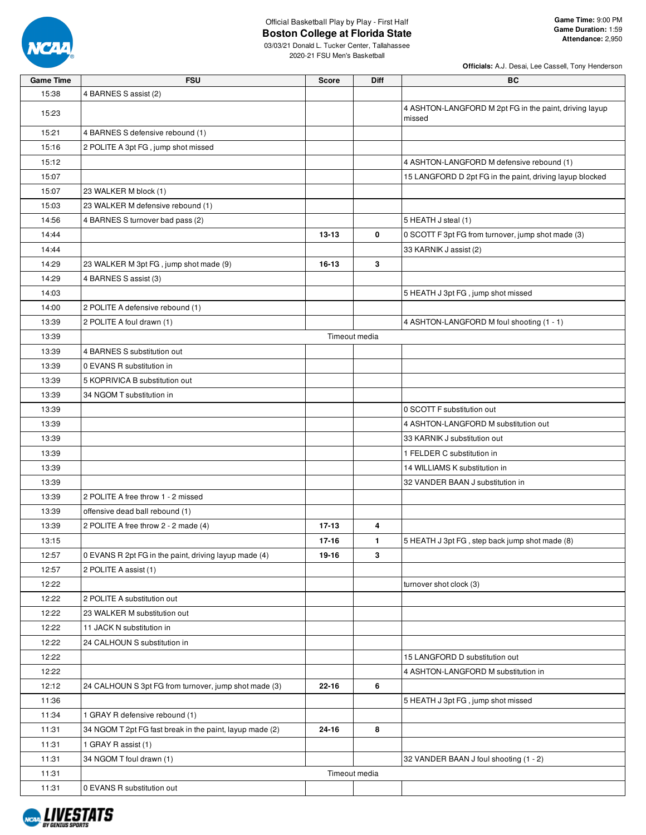

**Game Time:** 9:00 PM **Game Duration:** 1:59 **Attendance:** 2,950

03/03/21 Donald L. Tucker Center, Tallahassee 2020-21 FSU Men's Basketball

| <b>Game Time</b> | <b>FSU</b>                                               | <b>Score</b>  | Diff | BC                                                                    |
|------------------|----------------------------------------------------------|---------------|------|-----------------------------------------------------------------------|
| 15:38            | 4 BARNES S assist (2)                                    |               |      |                                                                       |
| 15:23            |                                                          |               |      | 4 ASHTON-LANGFORD M 2pt FG in the paint, driving layup<br>missed      |
| 15:21            | 4 BARNES S defensive rebound (1)                         |               |      |                                                                       |
| 15:16            | 2 POLITE A 3pt FG, jump shot missed                      |               |      |                                                                       |
| 15:12            |                                                          |               |      | 4 ASHTON-LANGFORD M defensive rebound (1)                             |
| 15:07            |                                                          |               |      | 15 LANGFORD D 2pt FG in the paint, driving layup blocked              |
| 15:07            | 23 WALKER M block (1)                                    |               |      |                                                                       |
| 15:03            | 23 WALKER M defensive rebound (1)                        |               |      |                                                                       |
| 14:56            | 4 BARNES S turnover bad pass (2)                         |               |      | 5 HEATH J steal (1)                                                   |
| 14:44            |                                                          | $13 - 13$     | 0    | 0 SCOTT F 3pt FG from turnover, jump shot made (3)                    |
| 14:44            |                                                          |               |      | 33 KARNIK J assist (2)                                                |
| 14:29            | 23 WALKER M 3pt FG, jump shot made (9)                   | 16-13         | 3    |                                                                       |
| 14:29            | 4 BARNES S assist (3)                                    |               |      |                                                                       |
| 14:03            |                                                          |               |      | 5 HEATH J 3pt FG, jump shot missed                                    |
| 14:00            | 2 POLITE A defensive rebound (1)                         |               |      |                                                                       |
| 13:39            | 2 POLITE A foul drawn (1)                                |               |      | 4 ASHTON-LANGFORD M foul shooting (1 - 1)                             |
| 13:39            |                                                          | Timeout media |      |                                                                       |
| 13:39            | 4 BARNES S substitution out                              |               |      |                                                                       |
| 13:39            | 0 EVANS R substitution in                                |               |      |                                                                       |
| 13:39            | 5 KOPRIVICA B substitution out                           |               |      |                                                                       |
| 13:39            | 34 NGOM T substitution in                                |               |      |                                                                       |
| 13:39            |                                                          |               |      | 0 SCOTT F substitution out                                            |
| 13:39            |                                                          |               |      | 4 ASHTON-LANGFORD M substitution out                                  |
| 13:39            |                                                          |               |      | 33 KARNIK J substitution out                                          |
| 13:39            |                                                          |               |      | 1 FELDER C substitution in                                            |
| 13:39            |                                                          |               |      | 14 WILLIAMS K substitution in                                         |
| 13:39            |                                                          |               |      | 32 VANDER BAAN J substitution in                                      |
| 13:39            | 2 POLITE A free throw 1 - 2 missed                       |               |      |                                                                       |
| 13:39            | offensive dead ball rebound (1)                          |               |      |                                                                       |
| 13:39            | 2 POLITE A free throw 2 - 2 made (4)                     | 17-13         | 4    |                                                                       |
| 13:15            |                                                          | $17 - 16$     | 1.   | 5 HEATH J 3pt FG, step back jump shot made (8)                        |
| 12:57            | 0 EVANS R 2pt FG in the paint, driving layup made (4)    | 19-16         | 3    |                                                                       |
| 12:57            | 2 POLITE A assist (1)                                    |               |      |                                                                       |
|                  |                                                          |               |      |                                                                       |
| 12:22<br>12:22   | 2 POLITE A substitution out                              |               |      | turnover shot clock (3)                                               |
| 12:22            | 23 WALKER M substitution out                             |               |      |                                                                       |
| 12:22            | 11 JACK N substitution in                                |               |      |                                                                       |
| 12:22            | 24 CALHOUN S substitution in                             |               |      |                                                                       |
|                  |                                                          |               |      |                                                                       |
| 12:22<br>12:22   |                                                          |               |      | 15 LANGFORD D substitution out<br>4 ASHTON-LANGFORD M substitution in |
| 12:12            | 24 CALHOUN S 3pt FG from turnover, jump shot made (3)    | 22-16         | 6    |                                                                       |
| 11:36            |                                                          |               |      | 5 HEATH J 3pt FG, jump shot missed                                    |
| 11:34            | 1 GRAY R defensive rebound (1)                           |               |      |                                                                       |
| 11:31            | 34 NGOM T 2pt FG fast break in the paint, layup made (2) |               | 8    |                                                                       |
|                  |                                                          | 24-16         |      |                                                                       |
| 11:31<br>11:31   | 1 GRAY R assist (1)<br>34 NGOM T foul drawn (1)          |               |      | 32 VANDER BAAN J foul shooting (1 - 2)                                |
|                  |                                                          | Timeout media |      |                                                                       |
| 11:31            |                                                          |               |      |                                                                       |
| 11:31            | 0 EVANS R substitution out                               |               |      |                                                                       |

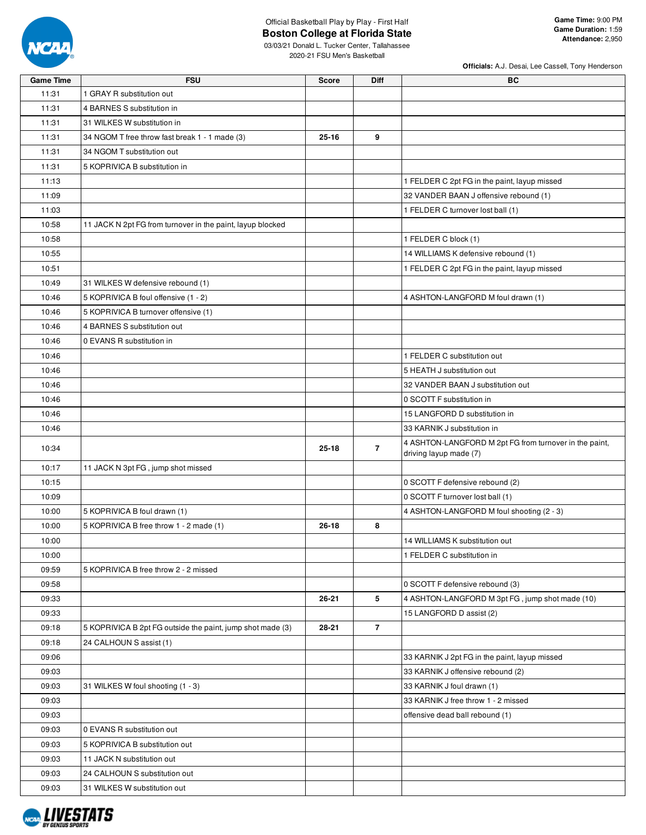

09:18 | 5 KOPRIVICA B 09:18 24 CALHOUN S

09:03 0 EVANS R substitution out 09:03 5 KOPRIVICA B substitution out 09:03 | 11 JACK N substitution out 09:03 24 CALHOUN S substitution out 09:03 31 WILKES W substitution out

#### Official Basketball Play by Play - First Half **Boston College at Florida State**

**Officials:** A.J. Desai, Lee Cassell, Tony Henderson

03/03/21 Donald L. Tucker Center, Tallahassee 2020-21 FSU Men's Basketball

**Game Time FSU Score Diff BC**

| 11:31 | 1 GRAY R substitution out                                  |           |                |                                                                                  |
|-------|------------------------------------------------------------|-----------|----------------|----------------------------------------------------------------------------------|
| 11:31 | 4 BARNES S substitution in                                 |           |                |                                                                                  |
| 11:31 | 31 WILKES W substitution in                                |           |                |                                                                                  |
| 11:31 | 34 NGOM T free throw fast break 1 - 1 made (3)             | $25 - 16$ | 9              |                                                                                  |
| 11:31 | 34 NGOM T substitution out                                 |           |                |                                                                                  |
| 11:31 | 5 KOPRIVICA B substitution in                              |           |                |                                                                                  |
| 11:13 |                                                            |           |                | 1 FELDER C 2pt FG in the paint, layup missed                                     |
| 11:09 |                                                            |           |                | 32 VANDER BAAN J offensive rebound (1)                                           |
| 11:03 |                                                            |           |                | 1 FELDER C turnover lost ball (1)                                                |
| 10:58 | 11 JACK N 2pt FG from turnover in the paint, layup blocked |           |                |                                                                                  |
| 10:58 |                                                            |           |                | 1 FELDER C block (1)                                                             |
| 10:55 |                                                            |           |                | 14 WILLIAMS K defensive rebound (1)                                              |
| 10:51 |                                                            |           |                | 1 FELDER C 2pt FG in the paint, layup missed                                     |
| 10:49 | 31 WILKES W defensive rebound (1)                          |           |                |                                                                                  |
| 10:46 | 5 KOPRIVICA B foul offensive (1 - 2)                       |           |                | 4 ASHTON-LANGFORD M foul drawn (1)                                               |
| 10:46 | 5 KOPRIVICA B turnover offensive (1)                       |           |                |                                                                                  |
| 10:46 | 4 BARNES S substitution out                                |           |                |                                                                                  |
| 10:46 | 0 EVANS R substitution in                                  |           |                |                                                                                  |
| 10:46 |                                                            |           |                | 1 FELDER C substitution out                                                      |
| 10:46 |                                                            |           |                | 5 HEATH J substitution out                                                       |
| 10:46 |                                                            |           |                | 32 VANDER BAAN J substitution out                                                |
| 10:46 |                                                            |           |                | 0 SCOTT F substitution in                                                        |
| 10:46 |                                                            |           |                | 15 LANGFORD D substitution in                                                    |
| 10:46 |                                                            |           |                | 33 KARNIK J substitution in                                                      |
| 10:34 |                                                            | $25 - 18$ | $\overline{7}$ | 4 ASHTON-LANGFORD M 2pt FG from turnover in the paint,<br>driving layup made (7) |
| 10:17 | 11 JACK N 3pt FG, jump shot missed                         |           |                |                                                                                  |
| 10:15 |                                                            |           |                | 0 SCOTT F defensive rebound (2)                                                  |
| 10:09 |                                                            |           |                | 0 SCOTT F turnover lost ball (1)                                                 |
| 10:00 | 5 KOPRIVICA B foul drawn (1)                               |           |                | 4 ASHTON-LANGFORD M foul shooting (2 - 3)                                        |
| 10:00 | 5 KOPRIVICA B free throw 1 - 2 made (1)                    | $26 - 18$ | 8              |                                                                                  |
| 10:00 |                                                            |           |                | 14 WILLIAMS K substitution out                                                   |
| 10:00 |                                                            |           |                | 1 FELDER C substitution in                                                       |
| 09:59 | 5 KOPRIVICA B free throw 2 - 2 missed                      |           |                |                                                                                  |
| 09:58 |                                                            |           |                | 0 SCOTT F defensive rebound (3)                                                  |
| 09:33 |                                                            | 26-21     | 5              | 4 ASHTON-LANGFORD M 3pt FG, jump shot made (10)                                  |
| 09:33 |                                                            |           |                | 15 LANGFORD D assist (2)                                                         |
| 09:18 | 5 KOPRIVICA B 2pt FG outside the paint, jump shot made (3) | 28-21     | $\overline{7}$ |                                                                                  |
| 09.18 | 24 CALHOUN S assist (1)                                    |           |                |                                                                                  |

09:06 **33 KARNIK J 2pt FG in the paint, layup missed** 33 KARNIK J 2pt FG in the paint, layup missed

09:03 **CONFIDENTIAL STATE REPORT OF A SET AND REPORT OF A SET AND REPORT OF A SET AND RESIDENT OF A SET AND RE** 09:03 31 WILKES W foul shooting (1 - 3) 33 KARNIK J foul drawn (1) 09:03 **CONFIDENTIAL STATE OF A SET ASSEMBLY ASSEMBLY ASSEMBLY ASSEMBLY ASSEMBLY ASSEMBLY ASSEMBLY ASSEMBLY ASSEM** 09:03 **offensive dead ball rebound (1)** offensive dead ball rebound (1)

**NCAL LIVESTATS**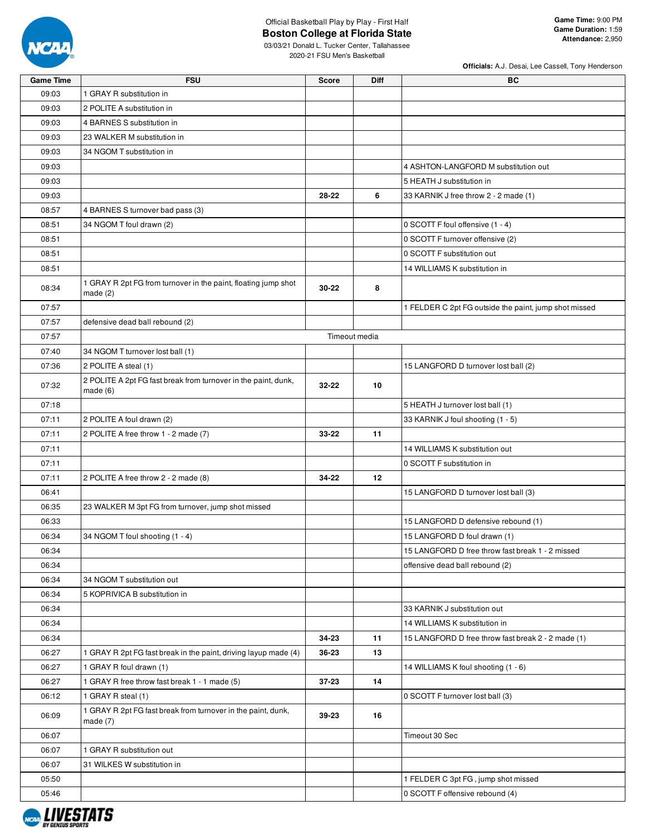

# Official Basketball Play by Play - First Half

03/03/21 Donald L. Tucker Center, Tallahassee 2020-21 FSU Men's Basketball

| <b>Game Time</b> | <b>FSU</b>                                                                 | <b>Score</b> | <b>Diff</b>   | ВC                                                    |
|------------------|----------------------------------------------------------------------------|--------------|---------------|-------------------------------------------------------|
| 09:03            | 1 GRAY R substitution in                                                   |              |               |                                                       |
| 09:03            | 2 POLITE A substitution in                                                 |              |               |                                                       |
| 09:03            | 4 BARNES S substitution in                                                 |              |               |                                                       |
| 09:03            | 23 WALKER M substitution in                                                |              |               |                                                       |
| 09:03            | 34 NGOM T substitution in                                                  |              |               |                                                       |
| 09:03            |                                                                            |              |               | 4 ASHTON-LANGFORD M substitution out                  |
| 09:03            |                                                                            |              |               | 5 HEATH J substitution in                             |
| 09:03            |                                                                            | 28-22        | 6             | 33 KARNIK J free throw 2 - 2 made (1)                 |
| 08:57            | 4 BARNES S turnover bad pass (3)                                           |              |               |                                                       |
| 08:51            | 34 NGOM T foul drawn (2)                                                   |              |               | 0 SCOTT F foul offensive (1 - 4)                      |
| 08:51            |                                                                            |              |               | 0 SCOTT F turnover offensive (2)                      |
| 08:51            |                                                                            |              |               | 0 SCOTT F substitution out                            |
| 08:51            |                                                                            |              |               | 14 WILLIAMS K substitution in                         |
|                  | 1 GRAY R 2pt FG from turnover in the paint, floating jump shot             |              |               |                                                       |
| 08:34            | made $(2)$                                                                 | 30-22        | 8             |                                                       |
| 07:57            |                                                                            |              |               | 1 FELDER C 2pt FG outside the paint, jump shot missed |
| 07:57            | defensive dead ball rebound (2)                                            |              |               |                                                       |
| 07:57            |                                                                            |              | Timeout media |                                                       |
| 07:40            | 34 NGOM T turnover lost ball (1)                                           |              |               |                                                       |
| 07:36            | 2 POLITE A steal (1)                                                       |              |               | 15 LANGFORD D turnover lost ball (2)                  |
| 07:32            | 2 POLITE A 2pt FG fast break from turnover in the paint, dunk,<br>made(6)  | 32-22        | 10            |                                                       |
| 07:18            |                                                                            |              |               | 5 HEATH J turnover lost ball (1)                      |
| 07:11            | 2 POLITE A foul drawn (2)                                                  |              |               | 33 KARNIK J foul shooting (1 - 5)                     |
| 07:11            | 2 POLITE A free throw 1 - 2 made (7)                                       | 33-22        | 11            |                                                       |
| 07:11            |                                                                            |              |               | 14 WILLIAMS K substitution out                        |
| 07:11            |                                                                            |              |               | 0 SCOTT F substitution in                             |
| 07:11            | 2 POLITE A free throw 2 - 2 made (8)                                       | 34-22        | 12            |                                                       |
| 06:41            |                                                                            |              |               | 15 LANGFORD D turnover lost ball (3)                  |
| 06:35            | 23 WALKER M 3pt FG from turnover, jump shot missed                         |              |               |                                                       |
| 06:33            |                                                                            |              |               | 15 LANGFORD D defensive rebound (1)                   |
| 06:34            | 34 NGOM T foul shooting (1 - 4)                                            |              |               | 15 LANGFORD D foul drawn (1)                          |
| 06:34            |                                                                            |              |               | 15 LANGFORD D free throw fast break 1 - 2 missed      |
| 06:34            |                                                                            |              |               | offensive dead ball rebound (2)                       |
| 06:34            | 34 NGOM T substitution out                                                 |              |               |                                                       |
| 06:34            | 5 KOPRIVICA B substitution in                                              |              |               |                                                       |
|                  |                                                                            |              |               |                                                       |
| 06:34            |                                                                            |              |               | 33 KARNIK J substitution out                          |
| 06:34            |                                                                            |              |               | 14 WILLIAMS K substitution in                         |
| 06:34            |                                                                            | 34-23        | 11            | 15 LANGFORD D free throw fast break 2 - 2 made (1)    |
| 06:27            | 1 GRAY R 2pt FG fast break in the paint, driving layup made (4)            | 36-23        | 13            |                                                       |
| 06:27            | 1 GRAY R foul drawn (1)                                                    |              |               | 14 WILLIAMS K foul shooting (1 - 6)                   |
| 06:27            | 1 GRAY R free throw fast break 1 - 1 made (5)                              | 37-23        | 14            |                                                       |
| 06:12            | 1 GRAY R steal (1)                                                         |              |               | 0 SCOTT F turnover lost ball (3)                      |
| 06:09            | 1 GRAY R 2pt FG fast break from turnover in the paint, dunk,<br>made $(7)$ | 39-23        | 16            |                                                       |
| 06:07            |                                                                            |              |               | Timeout 30 Sec                                        |
| 06:07            | 1 GRAY R substitution out                                                  |              |               |                                                       |
| 06:07            | 31 WILKES W substitution in                                                |              |               |                                                       |
| 05:50            |                                                                            |              |               | 1 FELDER C 3pt FG, jump shot missed                   |
| 05:46            |                                                                            |              |               | 0 SCOTT F offensive rebound (4)                       |

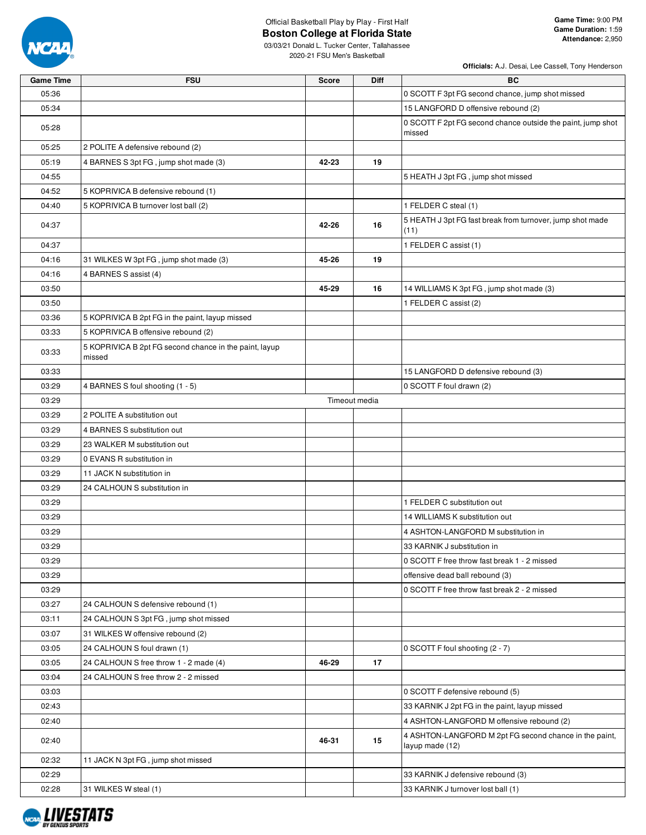

# Official Basketball Play by Play - First Half

2020-21 FSU Men's Basketball

| <b>Game Time</b> | <b>FSU</b>                                                       | <b>Score</b> | <b>Diff</b>   | BC                                                                        |
|------------------|------------------------------------------------------------------|--------------|---------------|---------------------------------------------------------------------------|
| 05:36            |                                                                  |              |               | 0 SCOTT F 3pt FG second chance, jump shot missed                          |
| 05:34            |                                                                  |              |               | 15 LANGFORD D offensive rebound (2)                                       |
| 05:28            |                                                                  |              |               | 0 SCOTT F 2pt FG second chance outside the paint, jump shot<br>missed     |
| 05:25            | 2 POLITE A defensive rebound (2)                                 |              |               |                                                                           |
| 05:19            | 4 BARNES S 3pt FG, jump shot made (3)                            | 42-23        | 19            |                                                                           |
| 04:55            |                                                                  |              |               | 5 HEATH J 3pt FG, jump shot missed                                        |
| 04:52            | 5 KOPRIVICA B defensive rebound (1)                              |              |               |                                                                           |
| 04:40            | 5 KOPRIVICA B turnover lost ball (2)                             |              |               | 1 FELDER C steal (1)                                                      |
| 04:37            |                                                                  | 42-26        | 16            | 5 HEATH J 3pt FG fast break from turnover, jump shot made<br>(11)         |
| 04:37            |                                                                  |              |               | 1 FELDER C assist (1)                                                     |
| 04:16            | 31 WILKES W 3pt FG, jump shot made (3)                           | 45-26        | 19            |                                                                           |
| 04:16            | 4 BARNES S assist (4)                                            |              |               |                                                                           |
| 03:50            |                                                                  | 45-29        | 16            | 14 WILLIAMS K 3pt FG, jump shot made (3)                                  |
| 03:50            |                                                                  |              |               | 1 FELDER C assist (2)                                                     |
| 03:36            | 5 KOPRIVICA B 2pt FG in the paint, layup missed                  |              |               |                                                                           |
| 03:33            | 5 KOPRIVICA B offensive rebound (2)                              |              |               |                                                                           |
| 03:33            | 5 KOPRIVICA B 2pt FG second chance in the paint, layup<br>missed |              |               |                                                                           |
| 03:33            |                                                                  |              |               | 15 LANGFORD D defensive rebound (3)                                       |
| 03:29            | 4 BARNES S foul shooting (1 - 5)                                 |              |               | 0 SCOTT F foul drawn (2)                                                  |
| 03:29            |                                                                  |              | Timeout media |                                                                           |
| 03:29            | 2 POLITE A substitution out                                      |              |               |                                                                           |
| 03:29            | 4 BARNES S substitution out                                      |              |               |                                                                           |
| 03:29            | 23 WALKER M substitution out                                     |              |               |                                                                           |
| 03:29            | 0 EVANS R substitution in                                        |              |               |                                                                           |
| 03:29            | 11 JACK N substitution in                                        |              |               |                                                                           |
| 03:29            | 24 CALHOUN S substitution in                                     |              |               |                                                                           |
| 03:29            |                                                                  |              |               | 1 FELDER C substitution out                                               |
| 03:29            |                                                                  |              |               | 14 WILLIAMS K substitution out                                            |
| 03:29            |                                                                  |              |               | 4 ASHTON-LANGFORD M substitution in                                       |
| 03:29            |                                                                  |              |               | 33 KARNIK J substitution in                                               |
| 03:29            |                                                                  |              |               | 0 SCOTT F free throw fast break 1 - 2 missed                              |
| 03:29            |                                                                  |              |               | offensive dead ball rebound (3)                                           |
| 03:29            |                                                                  |              |               | 0 SCOTT F free throw fast break 2 - 2 missed                              |
| 03:27            | 24 CALHOUN S defensive rebound (1)                               |              |               |                                                                           |
| 03:11            | 24 CALHOUN S 3pt FG, jump shot missed                            |              |               |                                                                           |
| 03:07            | 31 WILKES W offensive rebound (2)                                |              |               |                                                                           |
| 03:05            | 24 CALHOUN S foul drawn (1)                                      |              |               | 0 SCOTT F foul shooting (2 - 7)                                           |
| 03:05            | 24 CALHOUN S free throw 1 - 2 made (4)                           | 46-29        | 17            |                                                                           |
| 03:04            | 24 CALHOUN S free throw 2 - 2 missed                             |              |               |                                                                           |
| 03:03            |                                                                  |              |               | 0 SCOTT F defensive rebound (5)                                           |
| 02:43            |                                                                  |              |               | 33 KARNIK J 2pt FG in the paint, layup missed                             |
| 02:40            |                                                                  |              |               | 4 ASHTON-LANGFORD M offensive rebound (2)                                 |
| 02:40            |                                                                  | 46-31        | 15            | 4 ASHTON-LANGFORD M 2pt FG second chance in the paint,<br>layup made (12) |
| 02:32            | 11 JACK N 3pt FG, jump shot missed                               |              |               |                                                                           |
| 02:29            |                                                                  |              |               | 33 KARNIK J defensive rebound (3)                                         |
| 02:28            | 31 WILKES W steal (1)                                            |              |               | 33 KARNIK J turnover lost ball (1)                                        |

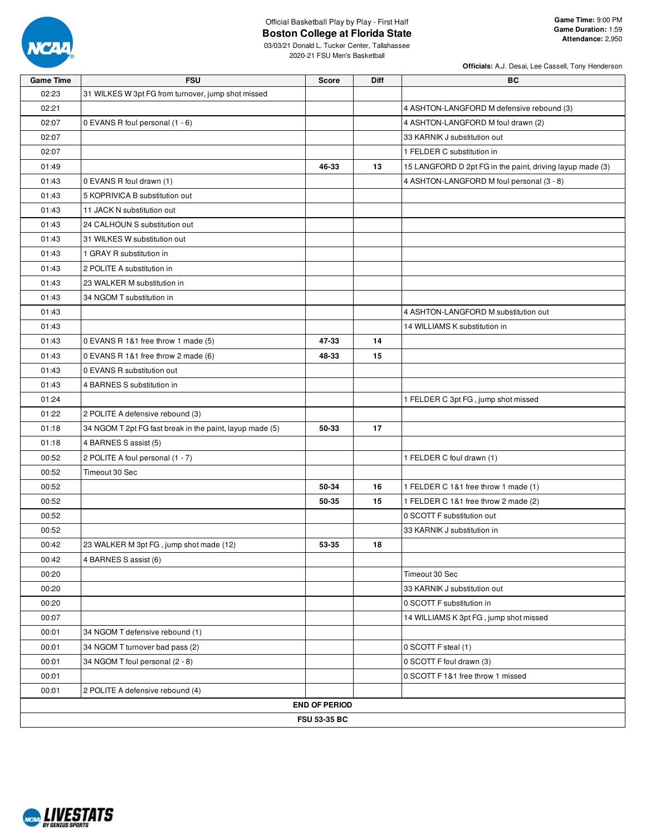

03/03/21 Donald L. Tucker Center, Tallahassee 2020-21 FSU Men's Basketball

|  |  |  | Officials: A.J. Desai, Lee Cassell, Tony Henderson |
|--|--|--|----------------------------------------------------|
|  |  |  |                                                    |

| <b>Game Time</b> | <b>FSU</b>                                               | <b>Score</b>         | <b>Diff</b> | ВC                                                        |
|------------------|----------------------------------------------------------|----------------------|-------------|-----------------------------------------------------------|
| 02:23            | 31 WILKES W 3pt FG from turnover, jump shot missed       |                      |             |                                                           |
| 02:21            |                                                          |                      |             | 4 ASHTON-LANGFORD M defensive rebound (3)                 |
| 02:07            | 0 EVANS R foul personal (1 - 6)                          |                      |             | 4 ASHTON-LANGFORD M foul drawn (2)                        |
| 02:07            |                                                          |                      |             | 33 KARNIK J substitution out                              |
| 02:07            |                                                          |                      |             | 1 FELDER C substitution in                                |
| 01:49            |                                                          | 46-33                | 13          | 15 LANGFORD D 2pt FG in the paint, driving layup made (3) |
| 01:43            | 0 EVANS R foul drawn (1)                                 |                      |             | 4 ASHTON-LANGFORD M foul personal (3 - 8)                 |
| 01:43            | 5 KOPRIVICA B substitution out                           |                      |             |                                                           |
| 01:43            | 11 JACK N substitution out                               |                      |             |                                                           |
| 01:43            | 24 CALHOUN S substitution out                            |                      |             |                                                           |
| 01:43            | 31 WILKES W substitution out                             |                      |             |                                                           |
| 01:43            | 1 GRAY R substitution in                                 |                      |             |                                                           |
| 01:43            | 2 POLITE A substitution in                               |                      |             |                                                           |
| 01:43            | 23 WALKER M substitution in                              |                      |             |                                                           |
| 01:43            | 34 NGOM T substitution in                                |                      |             |                                                           |
| 01:43            |                                                          |                      |             | 4 ASHTON-LANGFORD M substitution out                      |
| 01:43            |                                                          |                      |             | 14 WILLIAMS K substitution in                             |
| 01:43            | 0 EVANS R 1&1 free throw 1 made (5)                      | 47-33                | 14          |                                                           |
| 01:43            | 0 EVANS R 1&1 free throw 2 made (6)                      | 48-33                | 15          |                                                           |
| 01:43            | 0 EVANS R substitution out                               |                      |             |                                                           |
| 01:43            | 4 BARNES S substitution in                               |                      |             |                                                           |
| 01:24            |                                                          |                      |             | 1 FELDER C 3pt FG, jump shot missed                       |
| 01:22            | 2 POLITE A defensive rebound (3)                         |                      |             |                                                           |
| 01:18            | 34 NGOM T 2pt FG fast break in the paint, layup made (5) | 50-33                | 17          |                                                           |
| 01:18            | 4 BARNES S assist (5)                                    |                      |             |                                                           |
| 00:52            | 2 POLITE A foul personal (1 - 7)                         |                      |             | 1 FELDER C foul drawn (1)                                 |
| 00:52            | Timeout 30 Sec                                           |                      |             |                                                           |
| 00:52            |                                                          | 50-34                | 16          | 1 FELDER C 1&1 free throw 1 made (1)                      |
| 00:52            |                                                          | 50-35                | 15          | 1 FELDER C 1&1 free throw 2 made (2)                      |
| 00:52            |                                                          |                      |             | 0 SCOTT F substitution out                                |
| 00:52            |                                                          |                      |             | 33 KARNIK J substitution in                               |
| 00:42            | 23 WALKER M 3pt FG, jump shot made (12)                  | 53-35                | 18          |                                                           |
| 00:42            | 4 BARNES S assist (6)                                    |                      |             |                                                           |
| 00:20            |                                                          |                      |             | Timeout 30 Sec                                            |
| 00:20            |                                                          |                      |             | 33 KARNIK J substitution out                              |
| 00:20            |                                                          |                      |             | 0 SCOTT F substitution in                                 |
| 00:07            |                                                          |                      |             | 14 WILLIAMS K 3pt FG, jump shot missed                    |
| 00:01            | 34 NGOM T defensive rebound (1)                          |                      |             |                                                           |
| 00:01            | 34 NGOM T turnover bad pass (2)                          |                      |             | 0 SCOTT F steal (1)                                       |
| 00:01            | 34 NGOM T foul personal (2 - 8)                          |                      |             | 0 SCOTT F foul drawn (3)                                  |
| 00:01            |                                                          |                      |             | 0 SCOTT F 1&1 free throw 1 missed                         |
| 00:01            | 2 POLITE A defensive rebound (4)                         |                      |             |                                                           |
|                  |                                                          | <b>END OF PERIOD</b> |             |                                                           |
|                  |                                                          | <b>FSU 53-35 BC</b>  |             |                                                           |

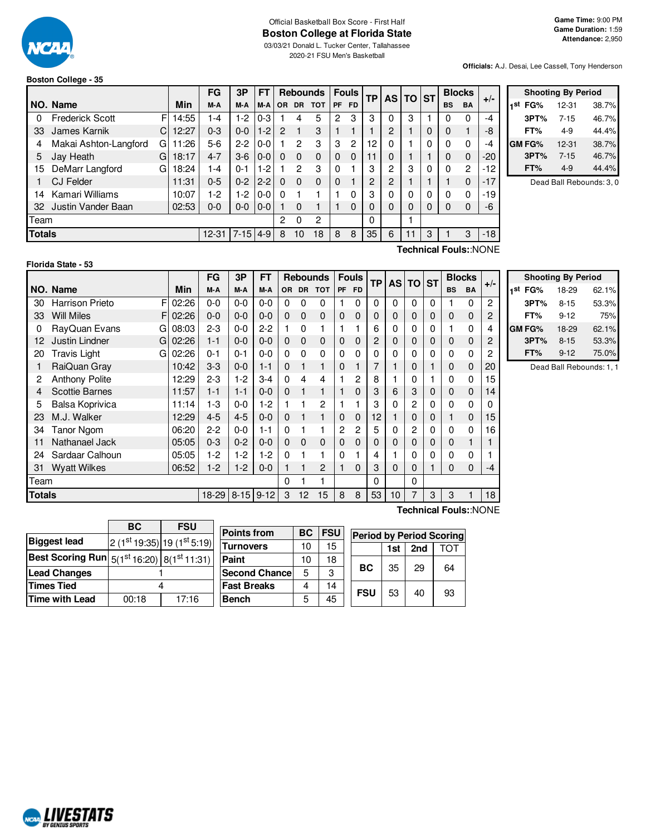

#### Official Basketball Box Score - First Half **Boston College at Florida State** 03/03/21 Donald L. Tucker Center, Tallahassee

2020-21 FSU Men's Basketball

**Officials:** A.J. Desai, Lee Cassell, Tony Henderson

#### **Boston College - 35**

|               |                        |    |       | FG        | 3P       | FΤ      |     |           | <b>Rebounds</b> |          | <b>Fouls</b>   | <b>TP</b> | <b>AS</b> | TO ST |   |           | <b>Blocks</b> |       |  |
|---------------|------------------------|----|-------|-----------|----------|---------|-----|-----------|-----------------|----------|----------------|-----------|-----------|-------|---|-----------|---------------|-------|--|
|               | NO. Name               |    | Min   | M-A       | M-A      | M-A     | OR. | <b>DR</b> | <b>TOT</b>      | PF       | <b>FD</b>      |           |           |       |   | <b>BS</b> | <b>BA</b>     | $+/-$ |  |
| 0             | <b>Frederick Scott</b> | F  | 14:55 | $-4$      | 1-2      | $0 - 3$ |     | 4         | 5               | 2        | 3              | 3         | 0         | 3     |   | 0         | $\Omega$      | $-4$  |  |
| 33            | James Karnik           | C. | 12:27 | $0 - 3$   | $0 - 0$  | $1 - 2$ | 2   |           | 3               |          |                |           | 2         |       | 0 | 0         |               | -8    |  |
| 4             | Makai Ashton-Langford  | G  | 11:26 | 5-6       | $2 - 2$  | $0 - 0$ |     | 2         | 3               | 3        | $\overline{c}$ | 12        | 0         |       | 0 | $\Omega$  | $\Omega$      | $-4$  |  |
| 5             | Jay Heath              | G  | 18:17 | $4 - 7$   | $3-6$    | $0 - 0$ | 0   | $\Omega$  | $\Omega$        | $\Omega$ | $\Omega$       |           | 0         |       |   | $\Omega$  | $\Omega$      | -20   |  |
| 15            | DeMarr Langford        | G  | 18:24 | $-4$      | $0 - 1$  | $1 - 2$ |     | 2         | 3               | $\Omega$ |                | 3         | 2         | 3     | 0 | $\Omega$  | $\mathbf{2}$  | -12   |  |
|               | <b>CJ Felder</b>       |    | 11:31 | $0 - 5$   | $0 - 2$  | $2 - 2$ | 0   | $\Omega$  | $\Omega$        | $\Omega$ |                | 2         | 2         |       |   |           | $\Omega$      | $-17$ |  |
| 14            | Kamari Williams        |    | 10:07 | $-2$      | $1-2$    | $0 - 0$ | O   |           |                 |          | 0              | 3         | 0         | U     | 0 |           | 0             | -19   |  |
| 32            | Justin Vander Baan     |    | 02:53 | $0 - 0$   | $0 - 0$  | $0 - 0$ |     | 0         |                 |          | $\Omega$       | 0         | 0         | 0     | 0 | $\Omega$  | $\Omega$      | -6    |  |
| Team          |                        |    |       |           |          |         | 2   | 0         | $\overline{2}$  |          |                | $\Omega$  |           |       |   |           |               |       |  |
| <b>Totals</b> |                        |    |       | $12 - 31$ | $7 - 15$ | $4 - 9$ | 8   | 10        | 18              | 8        | 8              | 35        | 6         |       | 3 |           | 3             | $-18$ |  |

|     | <b>Shooting By Period</b> |          |       |  |  |  |  |  |  |  |  |  |  |
|-----|---------------------------|----------|-------|--|--|--|--|--|--|--|--|--|--|
| 1st | FG%                       | 12-31    | 38.7% |  |  |  |  |  |  |  |  |  |  |
|     | 3PT%                      | $7 - 15$ | 46.7% |  |  |  |  |  |  |  |  |  |  |
|     | FT%                       | 4-9      | 44.4% |  |  |  |  |  |  |  |  |  |  |
|     | GM FG%                    | 12-31    | 38.7% |  |  |  |  |  |  |  |  |  |  |
|     | 3PT%                      | $7 - 15$ | 46.7% |  |  |  |  |  |  |  |  |  |  |
|     | FT%                       | 4-9      | 44.4% |  |  |  |  |  |  |  |  |  |  |

Dead Ball Rebounds: 3, 0

#### **Florida State - 53**

**Technical Fouls:**:NONE

|        |                          |                       | FG       | 3Р      | FT      |           | <b>Rebounds</b> |            |             | <b>Fouls</b> | TP | <b>AS</b> | <b>TO</b>      | <b>ST</b> | <b>Blocks</b>         |              |          |
|--------|--------------------------|-----------------------|----------|---------|---------|-----------|-----------------|------------|-------------|--------------|----|-----------|----------------|-----------|-----------------------|--------------|----------|
|        | NO. Name                 | Min                   | M-A      | M-A     | M-A     | <b>OR</b> | <b>DR</b>       | <b>TOT</b> | PF          | <b>FD</b>    |    |           |                |           | <b>BS</b>             | <b>BA</b>    | $+/-$    |
| 30     | F<br>Harrison Prieto     | 02:26                 | $0 - 0$  | $0 - 0$ | $0-0$   | $\Omega$  | 0               | 0          |             | 0            | 0  | 0         | $\Omega$       | $\Omega$  |                       | $\Omega$     | 2        |
| 33     | <b>Will Miles</b><br>F   | 02:26                 | $0 - 0$  | $0 - 0$ | $0 - 0$ | 0         | 0               | 0          | $\mathbf 0$ | 0            | 0  | 0         | 0              | 0         | $\mathbf 0$           | $\mathbf{0}$ | 2        |
| 0      | RayQuan Evans<br>G       | 08:03                 | $2 - 3$  | $0 - 0$ | $2 - 2$ |           | 0               | 1          |             |              | 6  | 0         | 0              | $\Omega$  |                       | $\mathbf{0}$ | 4        |
| 12     | Justin Lindner<br>G      | 02:26                 | $1 - 1$  | $0 - 0$ | $0 - 0$ | 0         | 0               | 0          | 0           | 0            | 2  | 0         | 0              | 0         | $\mathbf 0$           | $\Omega$     | 2        |
| 20     | <b>Travis Light</b><br>G | 02:26                 | $0 - 1$  | $0 - 1$ | $0 - 0$ | 0         | 0               | 0          | 0           | 0            | 0  | 0         | 0              | $\Omega$  | 0                     | 0            | 2        |
|        | RaiQuan Gray             | 10:42                 | $3 - 3$  | $0 - 0$ | $1 - 1$ | 0         |                 | 1          | 0           |              | 7  |           | 0              | 1         | 0                     | $\Omega$     | 20       |
| 2      | <b>Anthony Polite</b>    | 12:29                 | $2 - 3$  | 1-2     | $3 - 4$ | 0         | 4               | 4          |             | 2            | 8  |           | 0              |           | 0                     | 0            | 15       |
| 4      | <b>Scottie Barnes</b>    | 11:57                 | $1 - 1$  | $1 - 1$ | $0 - 0$ | 0         |                 | 1          |             | 0            | 3  | 6         | 3              | 0         | 0                     | $\Omega$     | 14       |
| 5      | Balsa Koprivica          | 11:14                 | $1-3$    | $0 - 0$ | $1-2$   |           |                 | 2          |             |              | 3  | 0         | $\overline{c}$ | $\Omega$  | 0                     | $\Omega$     | $\Omega$ |
| 23     | M.J. Walker              | 12:29                 | $4 - 5$  | $4 - 5$ | $0 - 0$ | 0         |                 | 1          | 0           | 0            | 12 |           | 0              | 0         | $\mathbf{1}$          | $\Omega$     | 15       |
| 34     | <b>Tanor Ngom</b>        | 06:20                 | $2 - 2$  | $0 - 0$ | 1-1     | $\Omega$  |                 |            | 2           | 2            | 5  | 0         | 2              | $\Omega$  | 0                     | $\mathbf{0}$ | 16       |
| 11     | Nathanael Jack           | 05:05                 | $0 - 3$  | $0 - 2$ | $0 - 0$ | 0         | 0               | 0          | 0           | 0            | 0  | 0         | 0              | 0         | 0                     |              |          |
| 24     | Sardaar Calhoun          | 05:05                 | $1-2$    | 1-2     | $1-2$   | $\Omega$  |                 | 1          | 0           |              | 4  |           | 0              | $\Omega$  | 0                     | 0            |          |
| 31     | <b>Wyatt Wilkes</b>      | 06:52                 | $1-2$    | $1-2$   | $0 - 0$ | 1         |                 | 2          |             | 0            | 3  | 0         | 0              |           | 0                     | 0            | -4       |
| Team   |                          |                       |          |         | 0       |           |                 |            |             | 0            |    | 0         |                |           |                       |              |          |
| Totals |                          | $8 - 15$<br>$18 - 29$ | $9 - 12$ | 3       | 12      | 15        | 8               | 8          | 53          | 10           | 7  | 3         | 3              |           | 18                    |              |          |
|        |                          |                       |          |         |         |           |                 |            |             |              |    |           |                |           | Technical Fouls::NONE |              |          |

**Shooting By Period 1 st FG%** 18-29 62.1% **3PT%** 8-15 53.3% **FT%** 9-12 75% **GM FG%** 18-29 62.1% **3PT%** 8-15 53.3% **FT%** 9-12 75.0%

Dead Ball Rebounds: 1, 1

|                                                           | BC    | <b>FSU</b>                 | Pc |
|-----------------------------------------------------------|-------|----------------------------|----|
| <b>Biggest lead</b>                                       |       | $2(1st19:35) 19(1st5:19) $ | Γū |
| Best Scoring Run $ 5(1^{\rm st}16:20) 8(1^{\rm st}11:31)$ |       |                            | Pa |
| <b>Lead Changes</b>                                       |       |                            | Se |
| Times Tied                                                |       |                            | Fa |
| Time with Lead                                            | 00:18 | 17:16                      | Bε |
|                                                           |       |                            |    |

**Points from BC FSU Turnovers** 10 15 **Paint** 10 18 **Second Chance** 5 3 **Fast Breaks** 4 14 **bench** 5 45 **Period by Period Scoring 1st 2nd** TOT **BC** 35 29 64 **FSU** 53 40  $\frac{1}{3}$ 

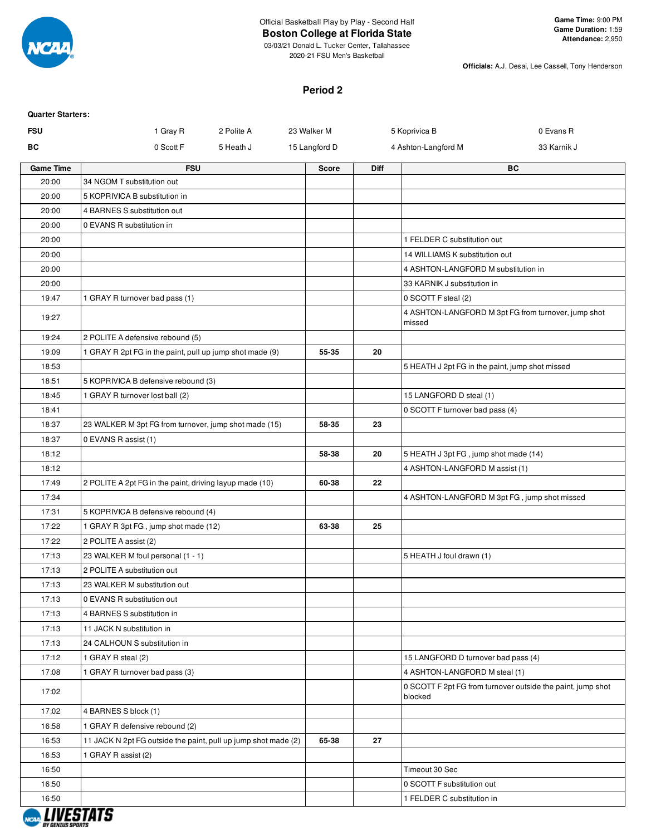

# Official Basketball Play by Play - Second Half

**Boston College at Florida State**

03/03/21 Donald L. Tucker Center, Tallahassee 2020-21 FSU Men's Basketball

**Officials:** A.J. Desai, Lee Cassell, Tony Henderson

#### **Period 2**

| 0 Evans R<br>33 Karnik J                                    |
|-------------------------------------------------------------|
|                                                             |
|                                                             |
|                                                             |
|                                                             |
|                                                             |
|                                                             |
|                                                             |
|                                                             |
|                                                             |
|                                                             |
|                                                             |
|                                                             |
| 4 ASHTON-LANGFORD M 3pt FG from turnover, jump shot         |
|                                                             |
|                                                             |
| 5 HEATH J 2pt FG in the paint, jump shot missed             |
|                                                             |
|                                                             |
|                                                             |
|                                                             |
|                                                             |
|                                                             |
|                                                             |
|                                                             |
| 4 ASHTON-LANGFORD M 3pt FG, jump shot missed                |
|                                                             |
|                                                             |
|                                                             |
|                                                             |
|                                                             |
|                                                             |
|                                                             |
|                                                             |
|                                                             |
|                                                             |
|                                                             |
|                                                             |
| 0 SCOTT F 2pt FG from turnover outside the paint, jump shot |
|                                                             |
|                                                             |
|                                                             |
|                                                             |
|                                                             |
|                                                             |
|                                                             |
|                                                             |

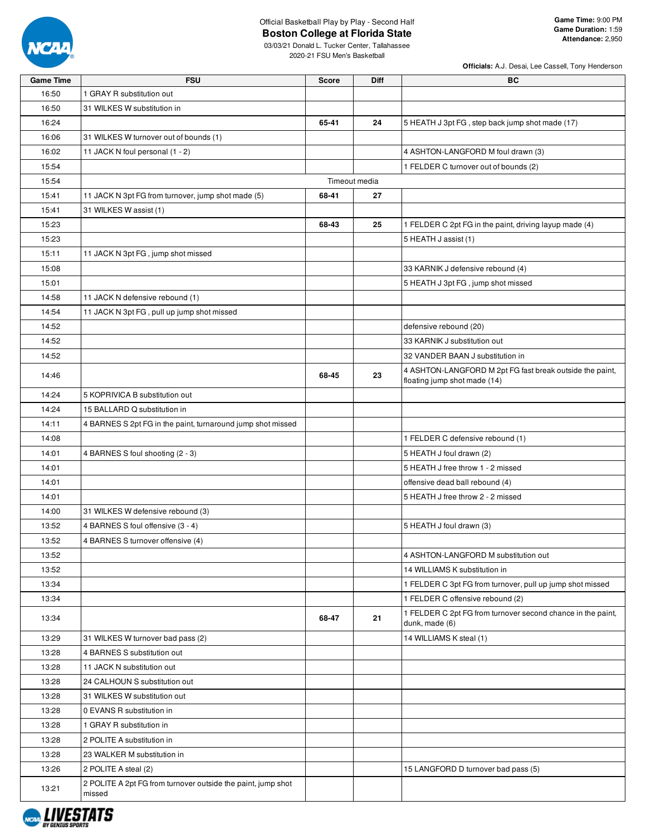

03/03/21 Donald L. Tucker Center, Tallahassee 2020-21 FSU Men's Basketball

| <b>Game Time</b> | <b>FSU</b>                                                             | <b>Score</b>  | <b>Diff</b> | ВC                                                                                       |
|------------------|------------------------------------------------------------------------|---------------|-------------|------------------------------------------------------------------------------------------|
| 16:50            | 1 GRAY R substitution out                                              |               |             |                                                                                          |
| 16:50            | 31 WILKES W substitution in                                            |               |             |                                                                                          |
| 16:24            |                                                                        | 65-41         | 24          | 5 HEATH J 3pt FG, step back jump shot made (17)                                          |
| 16:06            | 31 WILKES W turnover out of bounds (1)                                 |               |             |                                                                                          |
| 16:02            | 11 JACK N foul personal (1 - 2)                                        |               |             | 4 ASHTON-LANGFORD M foul drawn (3)                                                       |
| 15:54            |                                                                        |               |             | 1 FELDER C turnover out of bounds (2)                                                    |
| 15:54            |                                                                        | Timeout media |             |                                                                                          |
| 15:41            | 11 JACK N 3pt FG from turnover, jump shot made (5)                     | 68-41         | 27          |                                                                                          |
| 15:41            | 31 WILKES W assist (1)                                                 |               |             |                                                                                          |
| 15:23            |                                                                        | 68-43         | 25          | 1 FELDER C 2pt FG in the paint, driving layup made (4)                                   |
| 15:23            |                                                                        |               |             | 5 HEATH J assist (1)                                                                     |
| 15:11            | 11 JACK N 3pt FG, jump shot missed                                     |               |             |                                                                                          |
| 15:08            |                                                                        |               |             | 33 KARNIK J defensive rebound (4)                                                        |
| 15:01            |                                                                        |               |             | 5 HEATH J 3pt FG, jump shot missed                                                       |
| 14:58            | 11 JACK N defensive rebound (1)                                        |               |             |                                                                                          |
| 14:54            | 11 JACK N 3pt FG, pull up jump shot missed                             |               |             |                                                                                          |
|                  |                                                                        |               |             | defensive rebound (20)                                                                   |
| 14:52            |                                                                        |               |             |                                                                                          |
| 14:52            |                                                                        |               |             | 33 KARNIK J substitution out                                                             |
| 14:52            |                                                                        |               |             | 32 VANDER BAAN J substitution in                                                         |
| 14:46            |                                                                        | 68-45         | 23          | 4 ASHTON-LANGFORD M 2pt FG fast break outside the paint,<br>floating jump shot made (14) |
| 14:24            | 5 KOPRIVICA B substitution out                                         |               |             |                                                                                          |
| 14:24            | 15 BALLARD Q substitution in                                           |               |             |                                                                                          |
| 14:11            | 4 BARNES S 2pt FG in the paint, turnaround jump shot missed            |               |             |                                                                                          |
| 14:08            |                                                                        |               |             | 1 FELDER C defensive rebound (1)                                                         |
| 14:01            | 4 BARNES S foul shooting (2 - 3)                                       |               |             | 5 HEATH J foul drawn (2)                                                                 |
| 14:01            |                                                                        |               |             | 5 HEATH J free throw 1 - 2 missed                                                        |
| 14:01            |                                                                        |               |             | offensive dead ball rebound (4)                                                          |
| 14:01            |                                                                        |               |             | 5 HEATH J free throw 2 - 2 missed                                                        |
| 14:00            | 31 WILKES W defensive rebound (3)                                      |               |             |                                                                                          |
| 13:52            | 4 BARNES S foul offensive (3 - 4)                                      |               |             | 5 HEATH J foul drawn (3)                                                                 |
| 13:52            | 4 BARNES S turnover offensive (4)                                      |               |             |                                                                                          |
| 13:52            |                                                                        |               |             | 4 ASHTON-LANGFORD M substitution out                                                     |
| 13:52            |                                                                        |               |             | 14 WILLIAMS K substitution in                                                            |
| 13:34            |                                                                        |               |             | 1 FELDER C 3pt FG from turnover, pull up jump shot missed                                |
| 13:34            |                                                                        |               |             | 1 FELDER C offensive rebound (2)                                                         |
| 13:34            |                                                                        | 68-47         | 21          | 1 FELDER C 2pt FG from turnover second chance in the paint,<br>dunk, made (6)            |
| 13:29            | 31 WILKES W turnover bad pass (2)                                      |               |             | 14 WILLIAMS K steal (1)                                                                  |
| 13:28            | 4 BARNES S substitution out                                            |               |             |                                                                                          |
| 13:28            | 11 JACK N substitution out                                             |               |             |                                                                                          |
| 13:28            | 24 CALHOUN S substitution out                                          |               |             |                                                                                          |
| 13:28            | 31 WILKES W substitution out                                           |               |             |                                                                                          |
| 13:28            | 0 EVANS R substitution in                                              |               |             |                                                                                          |
| 13:28            | 1 GRAY R substitution in                                               |               |             |                                                                                          |
| 13:28            | 2 POLITE A substitution in                                             |               |             |                                                                                          |
| 13:28            | 23 WALKER M substitution in                                            |               |             |                                                                                          |
| 13:26            |                                                                        |               |             | 15 LANGFORD D turnover bad pass (5)                                                      |
|                  | 2 POLITE A steal (2)                                                   |               |             |                                                                                          |
| 13:21            | 2 POLITE A 2pt FG from turnover outside the paint, jump shot<br>missed |               |             |                                                                                          |

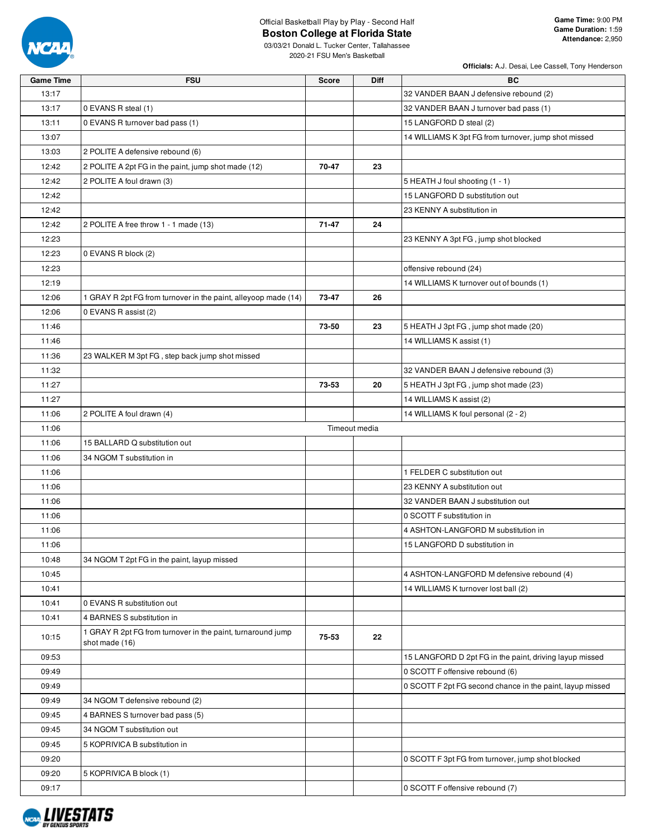

03/03/21 Donald L. Tucker Center, Tallahassee 2020-21 FSU Men's Basketball

| 13:17<br>32 VANDER BAAN J defensive rebound (2)<br>13:17<br>0 EVANS R steal (1)<br>32 VANDER BAAN J turnover bad pass (1)<br>0 EVANS R turnover bad pass (1)<br>13:11<br>15 LANGFORD D steal (2)<br>14 WILLIAMS K 3pt FG from turnover, jump shot missed<br>13:07<br>13:03<br>2 POLITE A defensive rebound (6)<br>12:42<br>2 POLITE A 2pt FG in the paint, jump shot made (12)<br>70-47<br>23<br>2 POLITE A foul drawn (3)<br>12:42<br>5 HEATH J foul shooting (1 - 1)<br>15 LANGFORD D substitution out<br>12:42 | <b>Game Time</b> | <b>FSU</b> | <b>Score</b> | Diff | BC                                                        |
|-------------------------------------------------------------------------------------------------------------------------------------------------------------------------------------------------------------------------------------------------------------------------------------------------------------------------------------------------------------------------------------------------------------------------------------------------------------------------------------------------------------------|------------------|------------|--------------|------|-----------------------------------------------------------|
|                                                                                                                                                                                                                                                                                                                                                                                                                                                                                                                   |                  |            |              |      |                                                           |
|                                                                                                                                                                                                                                                                                                                                                                                                                                                                                                                   |                  |            |              |      |                                                           |
|                                                                                                                                                                                                                                                                                                                                                                                                                                                                                                                   |                  |            |              |      |                                                           |
|                                                                                                                                                                                                                                                                                                                                                                                                                                                                                                                   |                  |            |              |      |                                                           |
|                                                                                                                                                                                                                                                                                                                                                                                                                                                                                                                   |                  |            |              |      |                                                           |
|                                                                                                                                                                                                                                                                                                                                                                                                                                                                                                                   |                  |            |              |      |                                                           |
|                                                                                                                                                                                                                                                                                                                                                                                                                                                                                                                   |                  |            |              |      |                                                           |
|                                                                                                                                                                                                                                                                                                                                                                                                                                                                                                                   |                  |            |              |      |                                                           |
|                                                                                                                                                                                                                                                                                                                                                                                                                                                                                                                   | 12:42            |            |              |      | 23 KENNY A substitution in                                |
| 12:42<br>2 POLITE A free throw 1 - 1 made (13)<br>71-47<br>24                                                                                                                                                                                                                                                                                                                                                                                                                                                     |                  |            |              |      |                                                           |
| 12:23<br>23 KENNY A 3pt FG, jump shot blocked                                                                                                                                                                                                                                                                                                                                                                                                                                                                     |                  |            |              |      |                                                           |
| 0 EVANS R block (2)<br>12:23                                                                                                                                                                                                                                                                                                                                                                                                                                                                                      |                  |            |              |      |                                                           |
| 12:23<br>offensive rebound (24)                                                                                                                                                                                                                                                                                                                                                                                                                                                                                   |                  |            |              |      |                                                           |
| 12:19<br>14 WILLIAMS K turnover out of bounds (1)                                                                                                                                                                                                                                                                                                                                                                                                                                                                 |                  |            |              |      |                                                           |
| 12:06<br>1 GRAY R 2pt FG from turnover in the paint, alleyoop made (14)<br>73-47<br>26                                                                                                                                                                                                                                                                                                                                                                                                                            |                  |            |              |      |                                                           |
| 12:06<br>0 EVANS R assist (2)                                                                                                                                                                                                                                                                                                                                                                                                                                                                                     |                  |            |              |      |                                                           |
| 73-50<br>5 HEATH J 3pt FG, jump shot made (20)<br>11:46<br>23                                                                                                                                                                                                                                                                                                                                                                                                                                                     |                  |            |              |      |                                                           |
| 11:46<br>14 WILLIAMS K assist (1)                                                                                                                                                                                                                                                                                                                                                                                                                                                                                 |                  |            |              |      |                                                           |
| 11:36<br>23 WALKER M 3pt FG, step back jump shot missed                                                                                                                                                                                                                                                                                                                                                                                                                                                           |                  |            |              |      |                                                           |
| 11:32<br>32 VANDER BAAN J defensive rebound (3)                                                                                                                                                                                                                                                                                                                                                                                                                                                                   |                  |            |              |      |                                                           |
| 11:27<br>73-53<br>20<br>5 HEATH J 3pt FG, jump shot made (23)                                                                                                                                                                                                                                                                                                                                                                                                                                                     |                  |            |              |      |                                                           |
| 11:27<br>14 WILLIAMS K assist (2)                                                                                                                                                                                                                                                                                                                                                                                                                                                                                 |                  |            |              |      |                                                           |
| 11:06<br>14 WILLIAMS K foul personal (2 - 2)<br>2 POLITE A foul drawn (4)                                                                                                                                                                                                                                                                                                                                                                                                                                         |                  |            |              |      |                                                           |
| Timeout media<br>11:06                                                                                                                                                                                                                                                                                                                                                                                                                                                                                            |                  |            |              |      |                                                           |
| 11:06<br>15 BALLARD Q substitution out                                                                                                                                                                                                                                                                                                                                                                                                                                                                            |                  |            |              |      |                                                           |
| 11:06<br>34 NGOM T substitution in                                                                                                                                                                                                                                                                                                                                                                                                                                                                                |                  |            |              |      |                                                           |
| 11:06<br>1 FELDER C substitution out                                                                                                                                                                                                                                                                                                                                                                                                                                                                              |                  |            |              |      |                                                           |
| 11:06<br>23 KENNY A substitution out                                                                                                                                                                                                                                                                                                                                                                                                                                                                              |                  |            |              |      |                                                           |
| 11:06<br>32 VANDER BAAN J substitution out                                                                                                                                                                                                                                                                                                                                                                                                                                                                        |                  |            |              |      |                                                           |
| 11:06<br>0 SCOTT F substitution in                                                                                                                                                                                                                                                                                                                                                                                                                                                                                |                  |            |              |      |                                                           |
| 11:06<br>4 ASHTON-LANGFORD M substitution in                                                                                                                                                                                                                                                                                                                                                                                                                                                                      |                  |            |              |      |                                                           |
| 11:06<br>15 LANGFORD D substitution in                                                                                                                                                                                                                                                                                                                                                                                                                                                                            |                  |            |              |      |                                                           |
| 34 NGOM T 2pt FG in the paint, layup missed<br>10:48                                                                                                                                                                                                                                                                                                                                                                                                                                                              |                  |            |              |      |                                                           |
| 4 ASHTON-LANGFORD M defensive rebound (4)                                                                                                                                                                                                                                                                                                                                                                                                                                                                         |                  |            |              |      |                                                           |
| 10:45<br>14 WILLIAMS K turnover lost ball (2)                                                                                                                                                                                                                                                                                                                                                                                                                                                                     |                  |            |              |      |                                                           |
| 10:41                                                                                                                                                                                                                                                                                                                                                                                                                                                                                                             |                  |            |              |      |                                                           |
| 10:41<br>0 EVANS R substitution out                                                                                                                                                                                                                                                                                                                                                                                                                                                                               |                  |            |              |      |                                                           |
| 4 BARNES S substitution in<br>10:41                                                                                                                                                                                                                                                                                                                                                                                                                                                                               |                  |            |              |      |                                                           |
| 1 GRAY R 2pt FG from turnover in the paint, turnaround jump<br>75-53<br>10:15<br>22<br>shot made (16)                                                                                                                                                                                                                                                                                                                                                                                                             |                  |            |              |      |                                                           |
| 09:53                                                                                                                                                                                                                                                                                                                                                                                                                                                                                                             |                  |            |              |      | 15 LANGFORD D 2pt FG in the paint, driving layup missed   |
| 09:49<br>0 SCOTT F offensive rebound (6)                                                                                                                                                                                                                                                                                                                                                                                                                                                                          |                  |            |              |      |                                                           |
| 09:49                                                                                                                                                                                                                                                                                                                                                                                                                                                                                                             |                  |            |              |      | 0 SCOTT F 2pt FG second chance in the paint, layup missed |
| 34 NGOM T defensive rebound (2)<br>09:49                                                                                                                                                                                                                                                                                                                                                                                                                                                                          |                  |            |              |      |                                                           |
| 09:45<br>4 BARNES S turnover bad pass (5)                                                                                                                                                                                                                                                                                                                                                                                                                                                                         |                  |            |              |      |                                                           |
| 09:45<br>34 NGOM T substitution out                                                                                                                                                                                                                                                                                                                                                                                                                                                                               |                  |            |              |      |                                                           |
| 5 KOPRIVICA B substitution in<br>09:45                                                                                                                                                                                                                                                                                                                                                                                                                                                                            |                  |            |              |      |                                                           |
| 09:20<br>0 SCOTT F 3pt FG from turnover, jump shot blocked                                                                                                                                                                                                                                                                                                                                                                                                                                                        |                  |            |              |      |                                                           |
| 5 KOPRIVICA B block (1)<br>09:20                                                                                                                                                                                                                                                                                                                                                                                                                                                                                  |                  |            |              |      |                                                           |
| 09:17<br>0 SCOTT F offensive rebound (7)                                                                                                                                                                                                                                                                                                                                                                                                                                                                          |                  |            |              |      |                                                           |

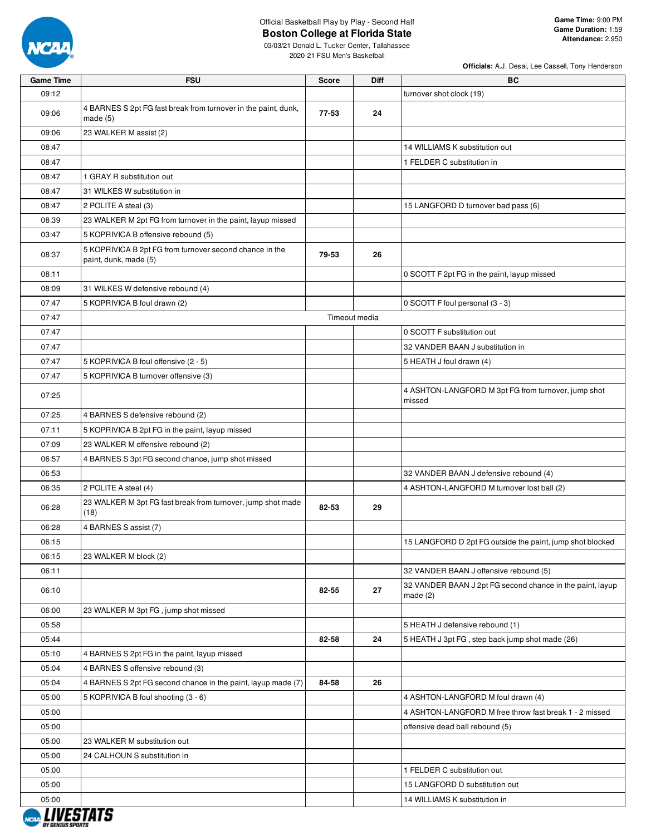

**Game Time:** 9:00 PM **Game Duration:** 1:59 **Attendance:** 2,950

03/03/21 Donald L. Tucker Center, Tallahassee 2020-21 FSU Men's Basketball

| Game Time             | <b>FSU</b>                                                                       | <b>Score</b> | Diff          | BС                                                                      |
|-----------------------|----------------------------------------------------------------------------------|--------------|---------------|-------------------------------------------------------------------------|
| 09:12                 |                                                                                  |              |               | turnover shot clock (19)                                                |
| 09:06                 | 4 BARNES S 2pt FG fast break from turnover in the paint, dunk,<br>made $(5)$     | $77 - 53$    | 24            |                                                                         |
| 09:06                 | 23 WALKER M assist (2)                                                           |              |               |                                                                         |
| 08:47                 |                                                                                  |              |               | 14 WILLIAMS K substitution out                                          |
| 08:47                 |                                                                                  |              |               | 1 FELDER C substitution in                                              |
| 08:47                 | 1 GRAY R substitution out                                                        |              |               |                                                                         |
| 08:47                 | 31 WILKES W substitution in                                                      |              |               |                                                                         |
| 08:47                 | 2 POLITE A steal (3)                                                             |              |               | 15 LANGFORD D turnover bad pass (6)                                     |
| 08:39                 | 23 WALKER M 2pt FG from turnover in the paint, layup missed                      |              |               |                                                                         |
| 03:47                 | 5 KOPRIVICA B offensive rebound (5)                                              |              |               |                                                                         |
| 08:37                 | 5 KOPRIVICA B 2pt FG from turnover second chance in the<br>paint, dunk, made (5) | 79-53        | 26            |                                                                         |
| 08:11                 |                                                                                  |              |               | 0 SCOTT F 2pt FG in the paint, layup missed                             |
| 08:09                 | 31 WILKES W defensive rebound (4)                                                |              |               |                                                                         |
| 07:47                 | 5 KOPRIVICA B foul drawn (2)                                                     |              |               | 0 SCOTT F foul personal (3 - 3)                                         |
| 07:47                 |                                                                                  |              | Timeout media |                                                                         |
| 07:47                 |                                                                                  |              |               | 0 SCOTT F substitution out                                              |
| 07:47                 |                                                                                  |              |               | 32 VANDER BAAN J substitution in                                        |
| 07:47                 | 5 KOPRIVICA B foul offensive (2 - 5)                                             |              |               | 5 HEATH J foul drawn (4)                                                |
| 07:47                 | 5 KOPRIVICA B turnover offensive (3)                                             |              |               |                                                                         |
| 07:25                 |                                                                                  |              |               | 4 ASHTON-LANGFORD M 3pt FG from turnover, jump shot<br>missed           |
| 07:25                 | 4 BARNES S defensive rebound (2)                                                 |              |               |                                                                         |
| 07:11                 | 5 KOPRIVICA B 2pt FG in the paint, layup missed                                  |              |               |                                                                         |
| 07:09                 | 23 WALKER M offensive rebound (2)                                                |              |               |                                                                         |
| 06:57                 | 4 BARNES S 3pt FG second chance, jump shot missed                                |              |               |                                                                         |
| 06:53                 |                                                                                  |              |               | 32 VANDER BAAN J defensive rebound (4)                                  |
| 06:35                 | 2 POLITE A steal (4)                                                             |              |               | 4 ASHTON-LANGFORD M turnover lost ball (2)                              |
| 06:28                 | 23 WALKER M 3pt FG fast break from turnover, jump shot made<br>(18)              | 82-53        | 29            |                                                                         |
| 06:28                 | 4 BARNES S assist (7)                                                            |              |               |                                                                         |
| 06:15                 |                                                                                  |              |               | 15 LANGFORD D 2pt FG outside the paint, jump shot blocked               |
| 06:15                 | 23 WALKER M block (2)                                                            |              |               |                                                                         |
| 06:11                 |                                                                                  |              |               | 32 VANDER BAAN J offensive rebound (5)                                  |
| 06:10                 |                                                                                  | 82-55        | 27            | 32 VANDER BAAN J 2pt FG second chance in the paint, layup<br>made $(2)$ |
| 06:00                 | 23 WALKER M 3pt FG, jump shot missed                                             |              |               |                                                                         |
| 05:58                 |                                                                                  |              |               | 5 HEATH J defensive rebound (1)                                         |
| 05:44                 |                                                                                  | 82-58        | 24            | 5 HEATH J 3pt FG, step back jump shot made (26)                         |
| 05:10                 | 4 BARNES S 2pt FG in the paint, layup missed                                     |              |               |                                                                         |
| 05:04                 | 4 BARNES S offensive rebound (3)                                                 |              |               |                                                                         |
| 05:04                 | 4 BARNES S 2pt FG second chance in the paint, layup made (7)                     | 84-58        | 26            |                                                                         |
| 05:00                 | 5 KOPRIVICA B foul shooting (3 - 6)                                              |              |               | 4 ASHTON-LANGFORD M foul drawn (4)                                      |
| 05:00                 |                                                                                  |              |               | 4 ASHTON-LANGFORD M free throw fast break 1 - 2 missed                  |
| 05:00                 |                                                                                  |              |               | offensive dead ball rebound (5)                                         |
| 05:00                 | 23 WALKER M substitution out                                                     |              |               |                                                                         |
| 05:00                 | 24 CALHOUN S substitution in                                                     |              |               |                                                                         |
| 05:00                 |                                                                                  |              |               | 1 FELDER C substitution out                                             |
| 05:00                 |                                                                                  |              |               | 15 LANGFORD D substitution out                                          |
| 05:00<br>, ,,,,,,,,,, |                                                                                  |              |               | 14 WILLIAMS K substitution in                                           |

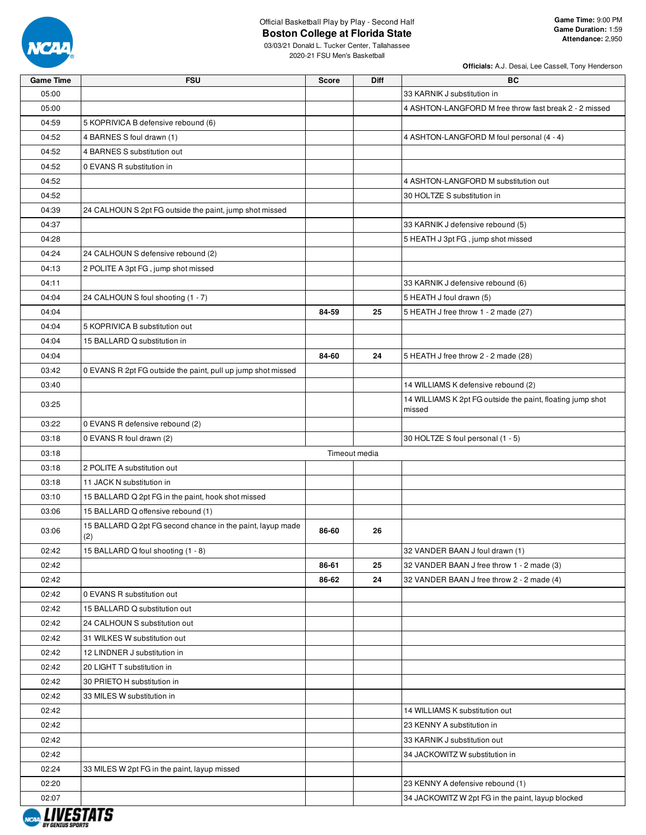

| <b>Game Time</b> | <b>FSU</b>                                                   | <b>Score</b>  | <b>Diff</b> | BC                                                         |
|------------------|--------------------------------------------------------------|---------------|-------------|------------------------------------------------------------|
| 05:00            |                                                              |               |             | 33 KARNIK J substitution in                                |
| 05:00            |                                                              |               |             | 4 ASHTON-LANGFORD M free throw fast break 2 - 2 missed     |
| 04:59            | 5 KOPRIVICA B defensive rebound (6)                          |               |             |                                                            |
| 04:52            | 4 BARNES S foul drawn (1)                                    |               |             | 4 ASHTON-LANGFORD M foul personal (4 - 4)                  |
| 04:52            | 4 BARNES S substitution out                                  |               |             |                                                            |
| 04:52            | 0 EVANS R substitution in                                    |               |             |                                                            |
| 04:52            |                                                              |               |             | 4 ASHTON-LANGFORD M substitution out                       |
| 04:52            |                                                              |               |             | 30 HOLTZE S substitution in                                |
| 04:39            | 24 CALHOUN S 2pt FG outside the paint, jump shot missed      |               |             |                                                            |
| 04:37            |                                                              |               |             | 33 KARNIK J defensive rebound (5)                          |
| 04:28            |                                                              |               |             | 5 HEATH J 3pt FG, jump shot missed                         |
| 04:24            | 24 CALHOUN S defensive rebound (2)                           |               |             |                                                            |
| 04:13            | 2 POLITE A 3pt FG, jump shot missed                          |               |             |                                                            |
| 04:11            |                                                              |               |             | 33 KARNIK J defensive rebound (6)                          |
| 04:04            | 24 CALHOUN S foul shooting (1 - 7)                           |               |             | 5 HEATH J foul drawn (5)                                   |
| 04:04            |                                                              | 84-59         | 25          | 5 HEATH J free throw 1 - 2 made (27)                       |
| 04:04            | 5 KOPRIVICA B substitution out                               |               |             |                                                            |
| 04:04            | 15 BALLARD Q substitution in                                 |               |             |                                                            |
| 04:04            |                                                              | 84-60         | 24          | 5 HEATH J free throw 2 - 2 made (28)                       |
| 03:42            | 0 EVANS R 2pt FG outside the paint, pull up jump shot missed |               |             |                                                            |
| 03:40            |                                                              |               |             | 14 WILLIAMS K defensive rebound (2)                        |
|                  |                                                              |               |             | 14 WILLIAMS K 2pt FG outside the paint, floating jump shot |
| 03:25            |                                                              |               |             | missed                                                     |
| 03:22            | 0 EVANS R defensive rebound (2)                              |               |             |                                                            |
| 03:18            | 0 EVANS R foul drawn (2)                                     |               |             | 30 HOLTZE S foul personal (1 - 5)                          |
| 03:18            |                                                              | Timeout media |             |                                                            |
| 03:18            | 2 POLITE A substitution out                                  |               |             |                                                            |
| 03:18            | 11 JACK N substitution in                                    |               |             |                                                            |
| 03:10            | 15 BALLARD Q 2pt FG in the paint, hook shot missed           |               |             |                                                            |
| 03:06            | 15 BALLARD Q offensive rebound (1)                           |               |             |                                                            |
|                  | 15 BALLARD Q 2pt FG second chance in the paint, layup made   |               |             |                                                            |
| 03:06            | (2)                                                          | 86-60         | 26          |                                                            |
| 02:42            | 15 BALLARD Q foul shooting (1 - 8)                           |               |             | 32 VANDER BAAN J foul drawn (1)                            |
| 02:42            |                                                              | 86-61         | 25          | 32 VANDER BAAN J free throw 1 - 2 made (3)                 |
| 02:42            |                                                              | 86-62         | 24          | 32 VANDER BAAN J free throw 2 - 2 made (4)                 |
| 02:42            | 0 EVANS R substitution out                                   |               |             |                                                            |
| 02:42            | 15 BALLARD Q substitution out                                |               |             |                                                            |
| 02:42            | 24 CALHOUN S substitution out                                |               |             |                                                            |
| 02:42            | 31 WILKES W substitution out                                 |               |             |                                                            |
| 02:42            | 12 LINDNER J substitution in                                 |               |             |                                                            |
| 02:42            | 20 LIGHT T substitution in                                   |               |             |                                                            |
| 02:42            | 30 PRIETO H substitution in                                  |               |             |                                                            |
| 02:42            | 33 MILES W substitution in                                   |               |             |                                                            |
| 02:42            |                                                              |               |             | 14 WILLIAMS K substitution out                             |
| 02:42            |                                                              |               |             | 23 KENNY A substitution in                                 |
| 02:42            |                                                              |               |             | 33 KARNIK J substitution out                               |
| 02:42            |                                                              |               |             | 34 JACKOWITZ W substitution in                             |
| 02:24            | 33 MILES W 2pt FG in the paint, layup missed                 |               |             |                                                            |
| 02:20            |                                                              |               |             | 23 KENNY A defensive rebound (1)                           |
| 02:07            |                                                              |               |             | 34 JACKOWITZ W 2pt FG in the paint, layup blocked          |
|                  |                                                              |               |             |                                                            |
|                  |                                                              |               |             |                                                            |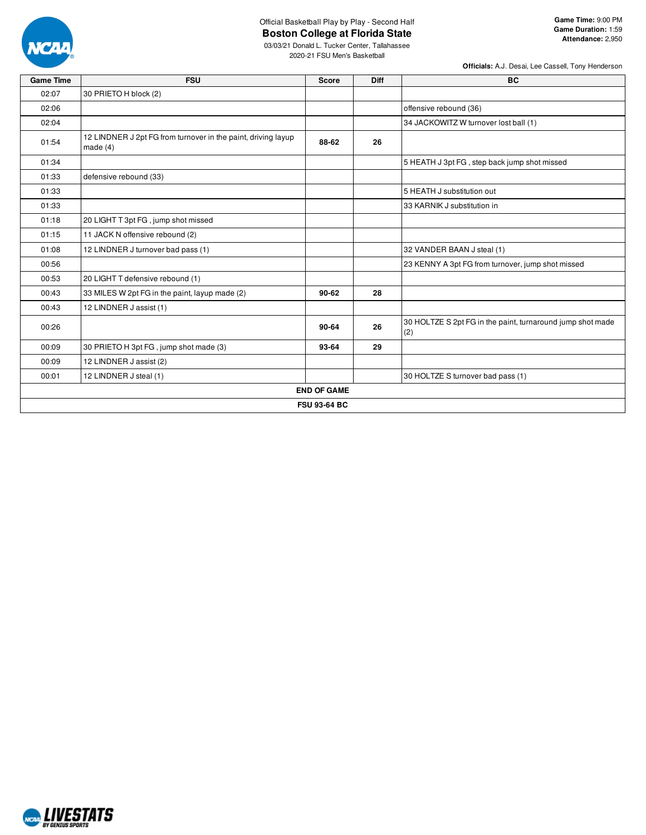

**Game Time:** 9:00 PM **Game Duration:** 1:59 **Attendance:** 2,950

03/03/21 Donald L. Tucker Center, Tallahassee 2020-21 FSU Men's Basketball

| <b>Game Time</b> | <b>FSU</b>                                                                  | <b>Score</b>        | <b>Diff</b> | <b>BC</b>                                                         |
|------------------|-----------------------------------------------------------------------------|---------------------|-------------|-------------------------------------------------------------------|
| 02:07            | 30 PRIETO H block (2)                                                       |                     |             |                                                                   |
| 02:06            |                                                                             |                     |             | offensive rebound (36)                                            |
| 02:04            |                                                                             |                     |             | 34 JACKOWITZ W turnover lost ball (1)                             |
| 01:54            | 12 LINDNER J 2pt FG from turnover in the paint, driving layup<br>made $(4)$ | 88-62               | 26          |                                                                   |
| 01:34            |                                                                             |                     |             | 5 HEATH J 3pt FG, step back jump shot missed                      |
| 01:33            | defensive rebound (33)                                                      |                     |             |                                                                   |
| 01:33            |                                                                             |                     |             | 5 HEATH J substitution out                                        |
| 01:33            |                                                                             |                     |             | 33 KARNIK J substitution in                                       |
| 01:18            | 20 LIGHT T 3pt FG, jump shot missed                                         |                     |             |                                                                   |
| 01:15            | 11 JACK N offensive rebound (2)                                             |                     |             |                                                                   |
| 01:08            | 12 LINDNER J turnover bad pass (1)                                          |                     |             | 32 VANDER BAAN J steal (1)                                        |
| 00:56            |                                                                             |                     |             | 23 KENNY A 3pt FG from turnover, jump shot missed                 |
| 00:53            | 20 LIGHT T defensive rebound (1)                                            |                     |             |                                                                   |
| 00:43            | 33 MILES W 2pt FG in the paint, layup made (2)                              | $90 - 62$           | 28          |                                                                   |
| 00:43            | 12 LINDNER J assist (1)                                                     |                     |             |                                                                   |
| 00:26            |                                                                             | 90-64               | 26          | 30 HOLTZE S 2pt FG in the paint, turnaround jump shot made<br>(2) |
| 00:09            | 30 PRIETO H 3pt FG, jump shot made (3)                                      | 93-64               | 29          |                                                                   |
| 00:09            | 12 LINDNER J assist (2)                                                     |                     |             |                                                                   |
| 00:01            | 12 LINDNER J steal (1)                                                      |                     |             | 30 HOLTZE S turnover bad pass (1)                                 |
|                  |                                                                             | <b>END OF GAME</b>  |             |                                                                   |
|                  |                                                                             | <b>FSU 93-64 BC</b> |             |                                                                   |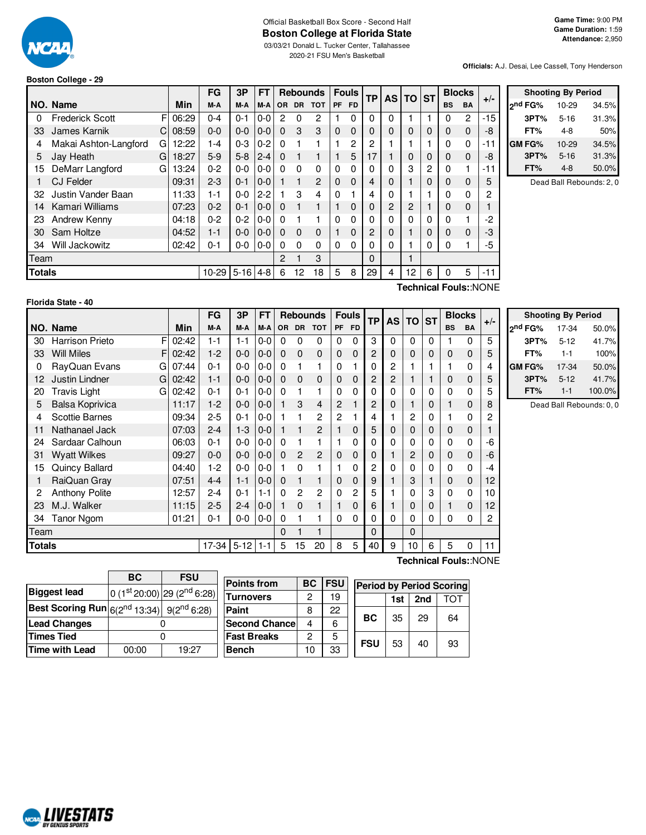

#### Official Basketball Box Score - Second Half **Boston College at Florida State** 03/03/21 Donald L. Tucker Center, Tallahassee

2020-21 FSU Men's Basketball

#### **Officials:** A.J. Desai, Lee Cassell, Tony Henderson

**Shooting By Period 2 nd FG%** 10-29 34.5% **3PT%** 5-16 31.3% **FT%** 4-8 50%

#### **Boston College - 29**

|               |                            |             | FG                 | 3Р      | <b>FT</b>                                                                                                                                                                                                                                                                                                                          |          |          | <b>Rebounds</b> |           | Fouls     | <b>TP</b> |          | AS TO ST        |   |           | <b>Blocks</b> |                                                                                        |         | <b>Shooting By Period</b> |       |
|---------------|----------------------------|-------------|--------------------|---------|------------------------------------------------------------------------------------------------------------------------------------------------------------------------------------------------------------------------------------------------------------------------------------------------------------------------------------|----------|----------|-----------------|-----------|-----------|-----------|----------|-----------------|---|-----------|---------------|----------------------------------------------------------------------------------------|---------|---------------------------|-------|
|               | INO. Name                  | <b>Min</b>  | M-A                | M-A     |                                                                                                                                                                                                                                                                                                                                    |          |          | M-A OR DR TOT   | <b>PF</b> | <b>FD</b> |           |          |                 |   | <b>BS</b> | BA            | $+/-$                                                                                  | 2nd FG% | 10-29                     | 34.5% |
|               | <b>Frederick Scott</b>     | F<br>06:29  | $0 - 4$            | $0 - 1$ | $0-0$                                                                                                                                                                                                                                                                                                                              | 2        | 0        | 2               |           | $\Omega$  |           | $\Omega$ |                 |   | 0         | 2             | $-15$                                                                                  | 3PT%    | $5 - 16$                  | 31.3% |
| 33            | James Karnik               | 08:59<br>C. | $0-0$              | $0 - 0$ | $ 0-0 $ 0                                                                                                                                                                                                                                                                                                                          |          | 3        | 3               | $\Omega$  | 0         |           | $\Omega$ | $\Omega$        | 0 | $\Omega$  | $\Omega$      | -8                                                                                     | FT%     | $4 - 8$                   | 50%   |
|               | Makai Ashton-Langford<br>G | 12:22       | $1 - 4$            | $0 - 3$ | $0 - 2$                                                                                                                                                                                                                                                                                                                            | 0        |          |                 |           | 2         |           |          |                 |   | 0         | 0             | $-11$                                                                                  | GM FG%  | $10 - 29$                 | 34.5% |
| 5.            | Jay Heath<br>G             | 18:27       | $5-9$              |         | $5-8$   2-4                                                                                                                                                                                                                                                                                                                        | $\Omega$ |          |                 |           | 5         |           |          | $\Omega$        | 0 | 0         | 0             | -8                                                                                     | 3PT%    | $5 - 16$                  | 31.3% |
| 15            | G<br>DeMarr Langford       | 13:24       | $0 - 2$            | 0-0     | $0-0$                                                                                                                                                                                                                                                                                                                              | $\Omega$ | $\Omega$ | 0               | 0         | 0         |           | 0        | 3               | 2 | $\Omega$  |               | -11                                                                                    | FT%     | $4 - 8$                   | 50.0% |
|               | CJ Felder                  | 09:31       | $2 - 3$            | $0 - 1$ | $ 0-0 $                                                                                                                                                                                                                                                                                                                            |          |          | $\mathbf{P}$    | $\Omega$  | $\Omega$  |           | $\Omega$ |                 | 0 | 0         | $\Omega$      | 5                                                                                      |         | Dead Ball Rebounds: 2,    |       |
| 32            | Justin Vander Baan         | 11:33       | $1 - 1$            | $0-0$   | $2-2$                                                                                                                                                                                                                                                                                                                              |          | 3        | 4               | 0         |           | 4         | $\Omega$ |                 |   | 0         | 0             | 2                                                                                      |         |                           |       |
| 14            | Kamari Williams            | 07:23       | $0 - 2$            | $0 - 1$ | $\begin{bmatrix} 0 & -0 & 0 \\ 0 & -0 & 0 \\ 0 & 0 & 0 \\ 0 & 0 & 0 \\ 0 & 0 & 0 \\ 0 & 0 & 0 \\ 0 & 0 & 0 \\ 0 & 0 & 0 \\ 0 & 0 & 0 \\ 0 & 0 & 0 & 0 \\ 0 & 0 & 0 & 0 \\ 0 & 0 & 0 & 0 \\ 0 & 0 & 0 & 0 \\ 0 & 0 & 0 & 0 & 0 \\ 0 & 0 & 0 & 0 & 0 \\ 0 & 0 & 0 & 0 & 0 \\ 0 & 0 & 0 & 0 & 0 & 0 \\ 0 & 0 & 0 & 0 & 0 & 0 \\ 0 & $ |          |          |                 |           | $\Omega$  |           | 2        | 2               |   | $\Omega$  | 0             |                                                                                        |         |                           |       |
| 23            | Andrew Kenny               | 04:18       | $0 - 2$            |         | $0-2$ $0-0$ 0                                                                                                                                                                                                                                                                                                                      |          |          |                 | 0         | 0         |           | 0        |                 |   | 0         |               | -2                                                                                     |         |                           |       |
| 30            | Sam Holtze                 | 04:52       | $1 - 1$            | $0 - 0$ | $10-0$                                                                                                                                                                                                                                                                                                                             | $\Omega$ | $\Omega$ | $\Omega$        |           | $\Omega$  |           | $\Omega$ |                 | 0 | $\Omega$  | $\Omega$      | -3                                                                                     |         |                           |       |
| 34            | Will Jackowitz             | 02:42       | $0 - 1$            |         | $0-0$ $0-0$ $0$                                                                                                                                                                                                                                                                                                                    |          | $\Omega$ | 0               | 0         | $\Omega$  |           | $\Omega$ |                 | 0 | 0         |               | -5                                                                                     |         |                           |       |
| Team          |                            |             |                    |         |                                                                                                                                                                                                                                                                                                                                    | 2        |          | 3               |           |           | $\Omega$  |          |                 |   |           |               |                                                                                        |         |                           |       |
| <b>Totals</b> |                            |             | $10-29$ 5-16 4-8 6 |         |                                                                                                                                                                                                                                                                                                                                    |          | 12       | 18              | 5         | 8         | 29        | 4        | 12 <sup>°</sup> | 6 | 0         | 5             | $-11$                                                                                  |         |                           |       |
|               |                            |             |                    |         |                                                                                                                                                                                                                                                                                                                                    |          |          |                 |           |           |           |          |                 |   |           |               | $T \sim 1$ , where $T \sim 1$ , $T \sim 1$ , $\sim 1$ , $\sim 1$ , $\sim 1$ , $\sim 1$ |         |                           |       |

#### **Florida State - 40**

**Technical Fouls:**:NONE

|               |                        |       | FG      | 3P       | FT      |          | <b>Rebounds</b> |                |              | <b>Fouls</b> | <b>TP</b> | <b>AS</b> | <b>TO</b> | <b>ST</b> |             | <b>Blocks</b> |       |                |
|---------------|------------------------|-------|---------|----------|---------|----------|-----------------|----------------|--------------|--------------|-----------|-----------|-----------|-----------|-------------|---------------|-------|----------------|
|               | NO. Name               | Min   | M-A     | M-A      | M-A     | OR.      | <b>DR</b>       | тот            | PF           | <b>FD</b>    |           |           |           |           | <b>BS</b>   | <b>BA</b>     | $+/-$ | 2 <sup>n</sup> |
| 30            | F<br>Harrison Prieto   | 02:42 | 1-1     | $1 - 1$  | $0 - 0$ | 0        | 0               | 0              | $\Omega$     | $\Omega$     | 3         | 0         | $\Omega$  | $\Omega$  |             | $\Omega$      | 5     |                |
| 33            | <b>Will Miles</b><br>F | 02:42 | $1 - 2$ | $0 - 0$  | $0 - 0$ | $\Omega$ | $\Omega$        | $\mathbf 0$    | $\mathbf{0}$ | $\mathbf{0}$ | 2         | 0         | 0         | 0         | 0           | $\mathbf 0$   | 5     |                |
| 0             | RayQuan Evans<br>G     | 07:44 | $0 - 1$ | $0-0$    | $0 - 0$ | 0        |                 | 1              | 0            |              | 0         | 2         |           |           |             | $\Omega$      | 4     | GI             |
| 12            | Justin Lindner<br>G    | 02:42 | $1 - 1$ | $0 - 0$  | $0 - 0$ | $\Omega$ | $\Omega$        | $\mathbf 0$    | 0            | 0            | 2         | 2         |           |           | 0           | $\mathbf 0$   | 5     |                |
| 20            | Travis Light<br>G      | 02:42 | $0 - 1$ | $0 - 1$  | $0 - 0$ | 0        |                 | 1              | 0            | $\Omega$     | 0         | 0         | 0         | 0         | 0           | 0             | 5     |                |
| 5             | Balsa Koprivica        | 11:17 | $1 - 2$ | $0 - 0$  | $0 - 0$ |          | 3               | 4              | 2            |              | 2         | 0         |           | 0         | 1           | $\mathbf 0$   | 8     |                |
| 4             | <b>Scottie Barnes</b>  | 09:34 | $2 - 5$ | $0 - 1$  | $0 - 0$ |          |                 | 2              | 2            |              | 4         |           | 2         | 0         |             | 0             | 2     |                |
| 11            | Nathanael Jack         | 07:03 | $2 - 4$ | $1 - 3$  | $0 - 0$ |          |                 | $\overline{2}$ |              | 0            | 5         | 0         | 0         | 0         | 0           | $\mathbf 0$   |       |                |
| 24            | Sardaar Calhoun        | 06:03 | $0 - 1$ | $0 - 0$  | $0 - 0$ | 0        |                 | 1              |              | 0            | 0         | 0         | 0         | 0         | $\Omega$    | $\Omega$      | -6    |                |
| 31            | <b>Wyatt Wilkes</b>    | 09:27 | $0 - 0$ | $0-0$    | $0-0$   | $\Omega$ | $\mathbf{2}$    | $\mathbf{2}$   | $\mathbf 0$  | 0            | 0         |           | 2         | 0         | $\mathbf 0$ | $\Omega$      | -6    |                |
| 15            | Quincy Ballard         | 04:40 | $1-2$   | $0-0$    | $0 - 0$ |          | 0               |                |              | 0            | 2         | 0         | 0         | 0         | 0           | $\Omega$      | -4    |                |
|               | RaiQuan Gray           | 07:51 | $4 - 4$ | $1 - 1$  | $0 - 0$ | $\Omega$ |                 | 1              | $\mathbf{0}$ | 0            | 9         |           | 3         |           | 0           | $\mathbf 0$   | 12    |                |
| 2             | Anthony Polite         | 12:57 | $2 - 4$ | $0 - 1$  | $1 - 1$ | $\Omega$ | 2               | $\overline{c}$ | 0            | 2            | 5         |           | 0         | 3         | 0           | $\Omega$      | 10    |                |
| 23            | M.J. Walker            | 11:15 | $2 - 5$ | $2 - 4$  | $0 - 0$ |          | $\Omega$        |                |              | 0            | 6         |           | 0         | 0         | 1           | $\mathbf 0$   | 12    |                |
| 34            | <b>Tanor Ngom</b>      | 01:21 | $0 - 1$ | $0-0$    | $0-0$   | 0        |                 |                | 0            | 0            | 0         | 0         | 0         | 0         | 0           | $\Omega$      | 2     |                |
| Team          |                        |       |         |          |         | 0        |                 |                |              |              | $\Omega$  |           | $\Omega$  |           |             |               |       |                |
| <b>Totals</b> |                        |       | $17-34$ | $5 - 12$ | $1 - 1$ | 5        | 15              | 20             | 8            | 5            | 40        | 9         | 10        | 6         | 5           | 0             | 11    |                |

**Shooting By Period nd FG%** 17-34 50.0% **3PT%** 5-12 41.7% **FT%** 1-1 100% **GM FG%** 17-34 50.0% **3PT%** 5-12 41.7% **FT%** 1-1 100.0% Dead Ball Rebounds: 0, 0

**BC FSU Biggest** lead  $\frac{\text{st}}{\text{20:00}}$  29 (2<sup>nd</sup> 6:28) **Best Scoring Run** 6(2<sup>nd</sup> 13:34) 9(2<sup>n</sup>  $9(2^{nd} 6:28)$ **Lead Changes** | 0 **Times Tied** 0 **Time with Lead** 00:00 19:27

| <b>Points from</b>    | ВC | <b>FSU</b> | <b>Period by Period Scoring</b> |     |     |     |  |  |  |  |  |  |
|-----------------------|----|------------|---------------------------------|-----|-----|-----|--|--|--|--|--|--|
| <b>Turnovers</b>      | 2  | 19         |                                 | 1st | 2nd | ΤΩΤ |  |  |  |  |  |  |
| Paint                 | 8  | 22         |                                 |     |     |     |  |  |  |  |  |  |
| <b>Second Chancel</b> |    | 6          | <b>BC</b>                       | 35  | 29  | 64  |  |  |  |  |  |  |
| <b>Fast Breaks</b>    | 2  | 5          | <b>FSU</b>                      |     |     |     |  |  |  |  |  |  |
| <b>Bench</b>          | 10 | 33         |                                 | 53  | 40  | 93  |  |  |  |  |  |  |

**Technical Fouls:**:NONE

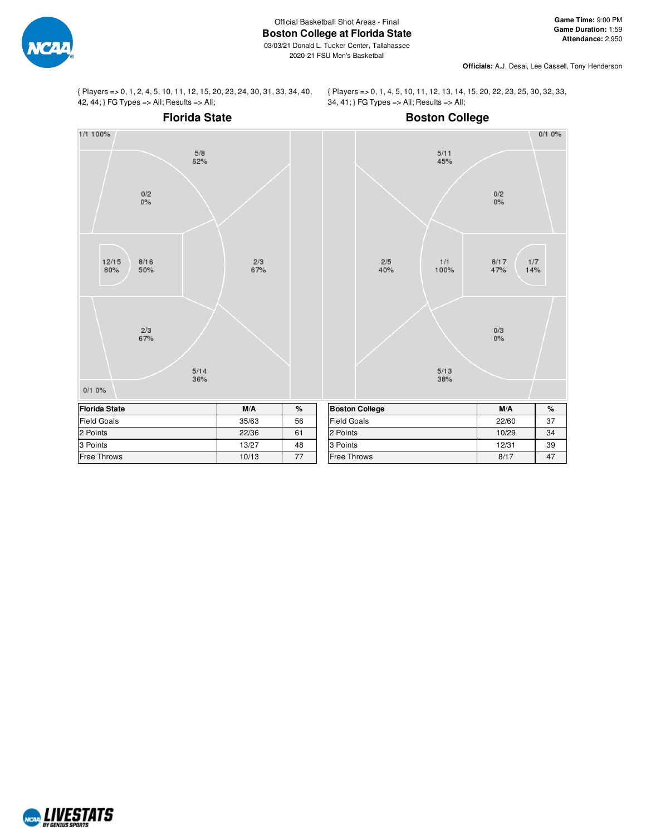

**Officials:** A.J. Desai, Lee Cassell, Tony Henderson

{ Players => 0, 1, 2, 4, 5, 10, 11, 12, 15, 20, 23, 24, 30, 31, 33, 34, 40,  $42, 44$ ; } FG Types => All; Results => All;

{ Players => 0, 1, 4, 5, 10, 11, 12, 13, 14, 15, 20, 22, 23, 25, 30, 32, 33, 34, 41; } FG Types => All; Results => All;



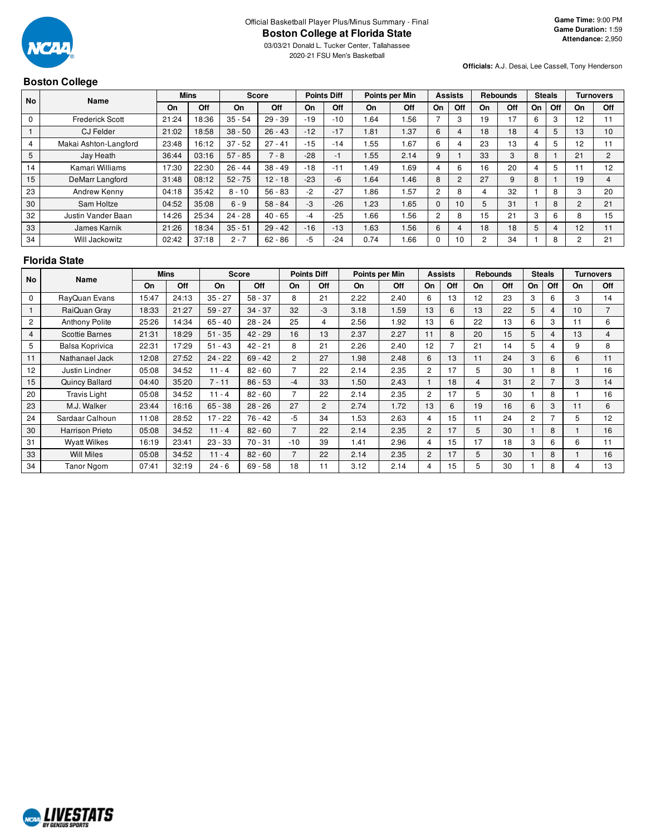

03/03/21 Donald L. Tucker Center, Tallahassee 2020-21 FSU Men's Basketball

## **Boston College**

**Officials:** A.J. Desai, Lee Cassell, Tony Henderson

|                | POULON VONVY           |       |             |              |            |       |                    |      |                |                |                |    |                 |    |               |                |                  |  |  |
|----------------|------------------------|-------|-------------|--------------|------------|-------|--------------------|------|----------------|----------------|----------------|----|-----------------|----|---------------|----------------|------------------|--|--|
| <b>No</b>      | Name                   |       | <b>Mins</b> | <b>Score</b> |            |       | <b>Points Diff</b> |      | Points per Min |                | <b>Assists</b> |    | <b>Rebounds</b> |    | <b>Steals</b> |                | <b>Turnovers</b> |  |  |
|                |                        | On    | <b>Off</b>  | On           | <b>Off</b> | On    | Off                | On.  | Off            | On             | Off            | On | <b>Off</b>      | On | Off           | On             | <b>Off</b>       |  |  |
| $\mathbf 0$    | <b>Frederick Scott</b> | 21:24 | 18:36       | $35 - 54$    | $29 - 39$  | $-19$ | $-10$              | 1.64 | .56            |                | 3              | 19 | 17              | 6  | 3             | 12             |                  |  |  |
|                | <b>CJ Felder</b>       | 21:02 | 18:58       | $38 - 50$    | $26 - 43$  | $-12$ | $-17$              | 1.81 | .37            | 6              | 4              | 18 | 18              | 4  | 5             | 13             | 10 <sup>1</sup>  |  |  |
| $\overline{4}$ | Makai Ashton-Langford  | 23:48 | 16:12       | $37 - 52$    | $27 - 41$  | $-15$ | $-14$              | .55  | .67            | 6              | 4              | 23 | 13              | 4  | 5             | 12             | ۱1               |  |  |
| 5              | Jay Heath              | 36:44 | 03:16       | $57 - 85$    | $7 - 8$    | $-28$ | $-1$               | 1.55 | 2.14           | 9              |                | 33 | 3               | 8  |               | 21             | $\overline{2}$   |  |  |
| 14             | Kamari Williams        | 17:30 | 22:30       | $26 - 44$    | $38 - 49$  | $-18$ | $-11$              | 1.49 | .69            | 4              | 6              | 16 | 20              | 4  | 5             |                | 12               |  |  |
| 15             | DeMarr Langford        | 31:48 | 08:12       | $52 - 75$    | $12 - 18$  | $-23$ | $-6$               | 1.64 | 1.46           | 8              | $\overline{2}$ | 27 | 9               | 8  |               | 19             | 4                |  |  |
| 23             | Andrew Kenny           | 04:18 | 35:42       | $8 - 10$     | $56 - 83$  | $-2$  | $-27$              | 1.86 | .57            | $\overline{2}$ | 8              | 4  | 32              |    | 8             | 3              | 20               |  |  |
| 30             | Sam Holtze             | 04:52 | 35:08       | $6 - 9$      | $58 - 84$  | -3    | $-26$              | 1.23 | 1.65           | $\Omega$       | 10             | 5  | 31              |    | 8             | $\overline{2}$ | 21               |  |  |
| 32             | Justin Vander Baan     | 14:26 | 25:34       | $24 - 28$    | $40 - 65$  | -4    | $-25$              | 1.66 | .56            | 2              | 8              | 15 | 21              | 3  | 6             | 8              | 15               |  |  |
| 33             | James Karnik           | 21:26 | 18:34       | $35 - 51$    | $29 - 42$  | $-16$ | $-13$              | 1.63 | 1.56           | 6              | 4              | 18 | 18              | 5  | 4             | 12             | 11               |  |  |
| 34             | Will Jackowitz         | 02:42 | 37:18       | $2 - 7$      | $62 - 86$  | -5    | $-24$              | 0.74 | .66            | 0              | 10             | 2  | 34              |    | 8             | 2              | 21               |  |  |

#### **Florida State**

| <b>No</b>      | <b>Name</b>            |       | <b>Mins</b> |           | <b>Score</b> |                | <b>Points Diff</b> |      | Points per Min |                | <b>Assists</b> |                | <b>Rebounds</b> |                | <b>Steals</b> |    | <b>Turnovers</b> |
|----------------|------------------------|-------|-------------|-----------|--------------|----------------|--------------------|------|----------------|----------------|----------------|----------------|-----------------|----------------|---------------|----|------------------|
|                |                        | On    | Off         | On        | Off          | On             | Off                | On   | Off            | On             | Off            | On             | Off             | On             | Off           | On | Off              |
| $\Omega$       | RayQuan Evans          | 15:47 | 24:13       | $35 - 27$ | $58 - 37$    | 8              | 21                 | 2.22 | 2.40           | 6              | 13             | 12             | 23              | 3              | 6             | 3  | 14               |
|                | RaiQuan Gray           | 18:33 | 21:27       | $59 - 27$ | $34 - 37$    | 32             | -3                 | 3.18 | 1.59           | 13             | 6              | 13             | 22              | 5              | 4             | 10 | 7                |
| $\overline{2}$ | <b>Anthony Polite</b>  | 25:26 | 14:34       | $65 - 40$ | $28 - 24$    | 25             | 4                  | 2.56 | 1.92           | 13             | 6              | 22             | 13              | 6              | 3             | 11 | 6                |
| 4              | Scottie Barnes         | 21:31 | 18:29       | $51 - 35$ | $42 - 29$    | 16             | 13                 | 2.37 | 2.27           | 11             | 8              | 20             | 15              | 5              | 4             | 13 | 4                |
| 5              | Balsa Koprivica        | 22:31 | 17:29       | $51 - 43$ | $42 - 21$    | 8              | 21                 | 2.26 | 2.40           | 12             |                | 21             | 14              | 5              | 4             | 9  | 8                |
| 11             | Nathanael Jack         | 12:08 | 27:52       | $24 - 22$ | $69 - 42$    | $\overline{2}$ | 27                 | 1.98 | 2.48           | 6              | 13             | 11             | 24              | 3              | 6             | 6  | 11               |
| 12             | Justin Lindner         | 05:08 | 34:52       | $11 - 4$  | $82 - 60$    |                | 22                 | 2.14 | 2.35           | $\overline{c}$ | 17             | 5              | 30              |                | 8             |    | 16               |
| 15             | Quincy Ballard         | 04:40 | 35:20       | $7 - 11$  | $86 - 53$    | $-4$           | 33                 | 1.50 | 2.43           |                | 18             | $\overline{4}$ | 31              | $\overline{2}$ |               | 3  | 14               |
| 20             | <b>Travis Light</b>    | 05:08 | 34:52       | $11 - 4$  | $82 - 60$    |                | 22                 | 2.14 | 2.35           | $\overline{2}$ | 17             | 5              | 30              |                | 8             |    | 16               |
| 23             | M.J. Walker            | 23:44 | 16:16       | $65 - 38$ | $28 - 26$    | 27             | $\overline{2}$     | 2.74 | 1.72           | 13             | 6              | 19             | 16              | 6              | 3             | 11 | 6                |
| 24             | Sardaar Calhoun        | 11:08 | 28:52       | $17 - 22$ | $76 - 42$    | -5             | 34                 | 1.53 | 2.63           | 4              | 15             | 11             | 24              | 2              |               | 5  | 12               |
| 30             | <b>Harrison Prieto</b> | 05:08 | 34:52       | $11 - 4$  | $82 - 60$    | $\overline{7}$ | 22                 | 2.14 | 2.35           | 2              | 17             | 5              | 30              |                | 8             |    | 16               |
| 31             | <b>Wyatt Wilkes</b>    | 16:19 | 23:41       | $23 - 33$ | $70 - 31$    | $-10$          | 39                 | 1.41 | 2.96           | 4              | 15             | 17             | 18              | 3              | 6             | 6  | 11               |
| 33             | <b>Will Miles</b>      | 05:08 | 34:52       | $11 - 4$  | $82 - 60$    |                | 22                 | 2.14 | 2.35           | $\overline{2}$ | 17             | 5              | 30              |                | 8             |    | 16               |
| 34             | Tanor Ngom             | 07:41 | 32:19       | $24 - 6$  | $69 - 58$    | 18             | 11                 | 3.12 | 2.14           | 4              | 15             | 5              | 30              |                | 8             | 4  | 13               |

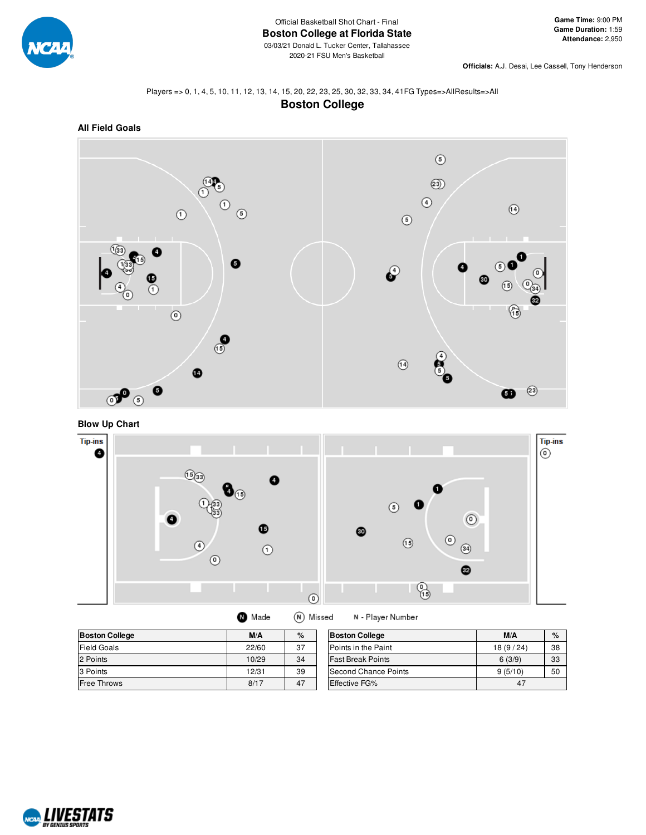

**Officials:** A.J. Desai, Lee Cassell, Tony Henderson

#### Players => 0, 1, 4, 5, 10, 11, 12, 13, 14, 15, 20, 22, 23, 25, 30, 32, 33, 34, 41FG Types=>AllResults=>All **Boston College**



**Blow Up Chart**



| ш. | , made | . | <b>IVI</b> |
|----|--------|---|------------|
|    |        |   |            |
|    |        |   |            |

N - Player Number

| <b>Boston College</b> | M/A   | %  | <b>Boston College</b>    | M/A      | $\%$ |
|-----------------------|-------|----|--------------------------|----------|------|
| Field Goals           | 22/60 | 37 | Points in the Paint      | 18(9/24) | 38   |
| 2 Points              | 10/29 | 34 | <b>Fast Break Points</b> | 6(3/9)   | 33   |
| 3 Points              | 12/31 | 39 | Second Chance Points     | 9(5/10)  | 50   |
| <b>Free Throws</b>    | 8/17  | 47 | <b>Effective FG%</b>     | 47       |      |

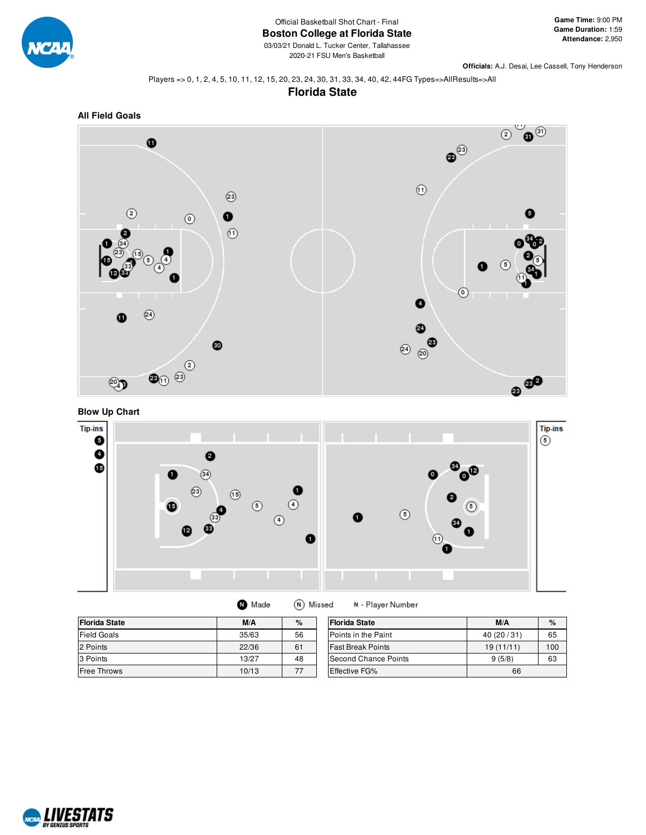

2020-21 FSU Men's Basketball

**Officials:** A.J. Desai, Lee Cassell, Tony Henderson

Players => 0, 1, 2, 4, 5, 10, 11, 12, 15, 20, 23, 24, 30, 31, 33, 34, 40, 42, 44FG Types=>AllResults=>All









| <b>Florida State</b> | M/A   | %  | <b>Florida State</b> | M/A       | $\%$ |
|----------------------|-------|----|----------------------|-----------|------|
| Field Goals          | 35/63 | 56 | Points in the Paint  | 40(20/31) | 65   |
| 2 Points             | 22/36 | 61 | lFast Break Points   | 19(11/11) | 100  |
| 3 Points             | 13/27 | 48 | Second Chance Points | 9(5/8)    | 63   |
| <b>Free Throws</b>   | 10/13 | 77 | Effective FG%        | 66        |      |

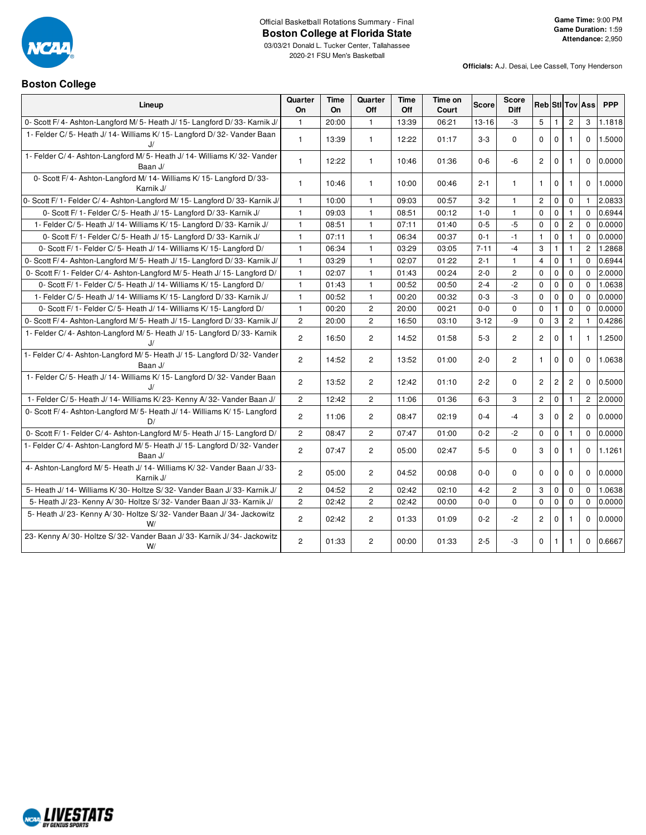

**Boston College**

# Official Basketball Rotations Summary - Final **Boston College at Florida State**

03/03/21 Donald L. Tucker Center, Tallahassee 2020-21 FSU Men's Basketball

| Lineup                                                                            | Quarter<br><b>On</b>  | Time<br><b>On</b> | Quarter<br>Off | Time<br>Off | Time on<br>Court | <b>Score</b> | <b>Score</b><br><b>Diff</b> | <b>Reb StilTov Ass</b>  |              |                |                | <b>PPP</b> |
|-----------------------------------------------------------------------------------|-----------------------|-------------------|----------------|-------------|------------------|--------------|-----------------------------|-------------------------|--------------|----------------|----------------|------------|
| 0- Scott F/4- Ashton-Langford M/5- Heath J/15- Langford D/33- Karnik J/           | $\mathbf{1}$          | 20:00             | $\mathbf{1}$   | 13:39       | 06:21            | $13 - 16$    | $-3$                        | 5                       | $\mathbf{1}$ | $\mathbf{2}$   | 3              | 1.1818     |
| 1- Felder C/5- Heath J/14- Williams K/15- Langford D/32- Vander Baan<br>J/        | $\mathbf{1}$          | 13:39             | $\mathbf{1}$   | 12:22       | 01:17            | $3 - 3$      | 0                           | $\mathbf 0$             | $\mathbf 0$  | $\mathbf{1}$   | 0              | 1.5000     |
| 1- Felder C/4- Ashton-Langford M/5- Heath J/14- Williams K/32- Vander<br>Baan J/  | $\mathbf{1}$          | 12:22             | $\mathbf{1}$   | 10:46       | 01:36            | $0 - 6$      | -6                          | $\overline{c}$          | $\mathbf 0$  | $\mathbf{1}$   | $\Omega$       | 0.0000     |
| 0- Scott F/4- Ashton-Langford M/14- Williams K/15- Langford D/33-<br>Karnik J/    | $\mathbf{1}$          | 10:46             | $\mathbf{1}$   | 10:00       | 00:46            | $2 - 1$      | $\mathbf{1}$                | $\mathbf{1}$            | 0            | $\mathbf{1}$   | 0              | 1.0000     |
| 0- Scott F/ 1- Felder C/ 4- Ashton-Langford M/ 15- Langford D/ 33- Karnik J/      | $\mathbf{1}$          | 10:00             | $\mathbf{1}$   | 09:03       | 00:57            | $3 - 2$      | 1                           | $\mathbf{2}$            | $\pmb{0}$    | $\mathbf 0$    | $\mathbf{1}$   | 2.0833     |
| 0- Scott F/ 1- Felder C/ 5- Heath J/ 15- Langford D/ 33- Karnik J/                | $\mathbf{1}$          | 09:03             | $\mathbf{1}$   | 08:51       | 00:12            | $1 - 0$      | $\mathbf{1}$                | $\mathbf 0$             | $\pmb{0}$    | $\mathbf{1}$   | 0              | 0.6944     |
| 1- Felder C/5- Heath J/14- Williams K/15- Langford D/33- Karnik J/                | $\mathbf{1}$          | 08:51             | $\mathbf{1}$   | 07:11       | 01:40            | $0 - 5$      | $-5$                        | $\mathbf 0$             | $\pmb{0}$    | $\overline{2}$ | 0              | 0.0000     |
| 0- Scott F/ 1- Felder C/ 5- Heath J/ 15- Langford D/ 33- Karnik J/                | $\mathbf{1}$          | 07:11             | $\mathbf{1}$   | 06:34       | 00:37            | $0 - 1$      | $-1$                        | $\mathbf{1}$            | $\pmb{0}$    | $\mathbf{1}$   | $\Omega$       | 0.0000     |
| 0- Scott F/1- Felder C/5- Heath J/14- Williams K/15- Langford D/                  | $\mathbf{1}$          | 06:34             | $\mathbf{1}$   | 03:29       | 03:05            | $7 - 11$     | $-4$                        | 3                       | $\mathbf{1}$ | $\mathbf{1}$   | $\overline{2}$ | 1.2868     |
| 0- Scott F/4- Ashton-Langford M/5- Heath J/15- Langford D/33- Karnik J/           | $\mathbf{1}$          | 03:29             | $\mathbf{1}$   | 02:07       | 01:22            | $2 - 1$      | $\mathbf{1}$                | $\overline{\mathbf{4}}$ | $\pmb{0}$    | $\mathbf{1}$   | 0              | 0.6944     |
| 0- Scott F/1- Felder C/4- Ashton-Langford M/5- Heath J/15- Langford D/            | $\mathbf{1}$          | 02:07             | $\mathbf{1}$   | 01:43       | 00:24            | $2 - 0$      | $\overline{c}$              | $\mathbf 0$             | $\pmb{0}$    | $\mathbf 0$    | $\Omega$       | 2.0000     |
| 0- Scott F/1- Felder C/5- Heath J/14- Williams K/15- Langford D/                  | $\mathbf{1}$          | 01:43             | $\mathbf{1}$   | 00:52       | 00:50            | $2 - 4$      | $-2$                        | 0                       | $\pmb{0}$    | $\mathbf 0$    | $\Omega$       | 1.0638     |
| 1- Felder C/5- Heath J/14- Williams K/15- Langford D/33- Karnik J/                | $\mathbf{1}$          | 00:52             | $\mathbf{1}$   | 00:20       | 00:32            | $0 - 3$      | $-3$                        | 0                       | $\mathsf 0$  | $\mathbf 0$    | 0              | 0.0000     |
| 0- Scott F/1- Felder C/5- Heath J/14- Williams K/15- Langford D/                  | $\mathbf{1}$          | 00:20             | $\overline{c}$ | 20:00       | 00:21            | $0 - 0$      | $\Omega$                    | $\mathbf 0$             | $\mathbf{1}$ | $\Omega$       | $\Omega$       | 0.0000     |
| 0- Scott F/4- Ashton-Langford M/5- Heath J/15- Langford D/33- Karnik J/           | $\overline{2}$        | 20:00             | $\overline{c}$ | 16:50       | 03:10            | $3 - 12$     | -9                          | $\Omega$                | 3            | $\overline{2}$ | 1              | 0.4286     |
| 1- Felder C/4- Ashton-Langford M/5- Heath J/15- Langford D/33- Karnik             | $\overline{c}$        | 16:50             | $\overline{c}$ | 14:52       | 01:58            | $5 - 3$      | $\overline{c}$              | $\mathbf{2}^{\prime}$   | $\mathbf 0$  | 1              | $\mathbf{1}$   | 1.2500     |
| 1- Felder C/4- Ashton-Langford M/5- Heath J/15- Langford D/32- Vander<br>Baan J/  | $\overline{2}$        | 14:52             | $\overline{c}$ | 13:52       | 01:00            | $2 - 0$      | $\overline{c}$              | $\mathbf{1}$            | $\mathbf 0$  | $\Omega$       | $\Omega$       | 1.0638     |
| 1- Felder C/5- Heath J/14- Williams K/15- Langford D/32- Vander Baan<br>J/        | $\overline{2}$        | 13:52             | $\overline{c}$ | 12:42       | 01:10            | $2 - 2$      | $\Omega$                    | $\overline{c}$          | $\mathbf{2}$ | $\overline{c}$ | $\Omega$       | 0.5000     |
| 1- Felder C/5- Heath J/14- Williams K/23- Kenny A/32- Vander Baan J/              | $\overline{c}$        | 12:42             | $\overline{2}$ | 11:06       | 01:36            | $6 - 3$      | 3                           | $\mathbf{2}^{\prime}$   | $\pmb{0}$    | 1              | $\overline{2}$ | 2.0000     |
| 0- Scott F/4- Ashton-Langford M/5- Heath J/14- Williams K/15- Langford<br>D/      | $\overline{2}$        | 11:06             | $\overline{2}$ | 08:47       | 02:19            | $0 - 4$      | $-4$                        | 3                       | $\mathbf 0$  | $\overline{2}$ | 0              | 0.0000     |
| 0- Scott F/1- Felder C/4- Ashton-Langford M/5- Heath J/15- Langford D/            | $\overline{c}$        | 08:47             | $\overline{2}$ | 07:47       | 01:00            | $0 - 2$      | $-2$                        | $\Omega$                | $\mathbf 0$  | $\mathbf{1}$   | $\Omega$       | 0.0000     |
| 1- Felder C/4- Ashton-Langford M/5- Heath J/15- Langford D/32- Vander<br>Baan J/  | $\overline{c}$        | 07:47             | $\overline{c}$ | 05:00       | 02:47            | $5 - 5$      | $\Omega$                    | 3                       | $\mathbf 0$  | 1              | 0              | 1.1261     |
| 4- Ashton-Langford M/5- Heath J/14- Williams K/32- Vander Baan J/33-<br>Karnik J/ | $\overline{2}$        | 05:00             | $\overline{2}$ | 04:52       | 00:08            | $0 - 0$      | $\Omega$                    | $\Omega$                | $\mathbf 0$  | $\Omega$       | $\Omega$       | 0.0000     |
| 5- Heath J/14- Williams K/30- Holtze S/32- Vander Baan J/33- Karnik J/            | $\mathbf{2}^{\prime}$ | 04:52             | $\overline{c}$ | 02:42       | 02:10            | $4 - 2$      | $\overline{c}$              | 3                       | $\mathbf 0$  | $\mathbf 0$    | $\Omega$       | 1.0638     |
| 5- Heath J/23- Kenny A/30- Holtze S/32- Vander Baan J/33- Karnik J/               | $\overline{c}$        | 02:42             | $\overline{c}$ | 02:42       | 00:00            | $0 - 0$      | $\Omega$                    | 0                       | $\mathbf 0$  | $\mathbf 0$    | 0              | 0.0000     |
| 5- Heath J/23- Kenny A/30- Holtze S/32- Vander Baan J/34- Jackowitz<br>W/         | $\overline{2}$        | 02:42             | $\overline{2}$ | 01:33       | 01:09            | $0 - 2$      | $-2$                        | $\mathbf{2}^{\prime}$   | $\pmb{0}$    | $\mathbf{1}$   | 0              | 0.0000     |
| 23- Kenny A/30- Holtze S/32- Vander Baan J/33- Karnik J/34- Jackowitz<br>W/       | $\overline{c}$        | 01:33             | 2              | 00:00       | 01:33            | $2 - 5$      | -3                          | $\mathbf 0$             | $\mathbf{1}$ | 1              | 0              | 0.6667     |

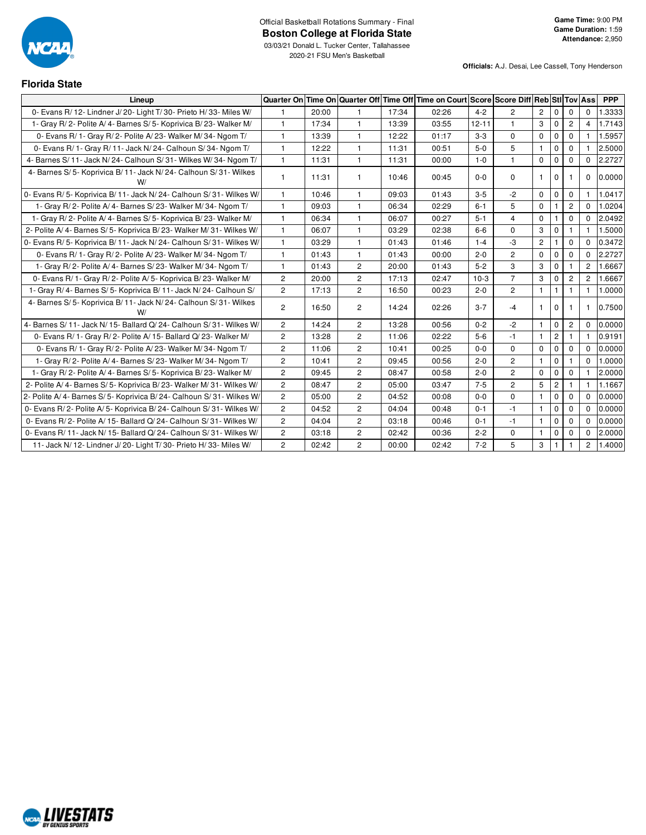

| <b>Florida State</b>                                                     |                |       |                |       |                                                                             |           |                |                |                |                       |                |            |
|--------------------------------------------------------------------------|----------------|-------|----------------|-------|-----------------------------------------------------------------------------|-----------|----------------|----------------|----------------|-----------------------|----------------|------------|
| Lineup                                                                   | Quarter On     |       |                |       | Time On Quarter Off Time Off Time on Court Score Score Diff Reb StI Tov Ass |           |                |                |                |                       |                | <b>PPP</b> |
| 0- Evans R/ 12- Lindner J/ 20- Light T/ 30- Prieto H/ 33- Miles W/       | $\mathbf{1}$   | 20:00 | $\mathbf{1}$   | 17:34 | 02:26                                                                       | $4 - 2$   | $\overline{2}$ | $\overline{2}$ | $\mathbf 0$    | $\Omega$              | $\Omega$       | 1.3333     |
| 1- Gray R/2- Polite A/4- Barnes S/5- Koprivica B/23- Walker M/           | $\mathbf{1}$   | 17:34 | 1              | 13:39 | 03:55                                                                       | $12 - 11$ | $\mathbf{1}$   | 3              | $\mathbf 0$    | $\mathbf{2}$          | $\overline{4}$ | 1.7143     |
| 0- Evans R/ 1- Gray R/ 2- Polite A/ 23- Walker M/ 34- Ngom T/            | $\mathbf{1}$   | 13:39 | 1              | 12:22 | 01:17                                                                       | $3-3$     | $\mathbf 0$    | $\mathbf 0$    | $\mathbf 0$    | $\mathbf{0}$          | $\mathbf{1}$   | 1.5957     |
| 0- Evans R/ 1- Gray R/ 11- Jack N/ 24- Calhoun S/ 34- Ngom T/            | $\mathbf{1}$   | 12:22 | 1              | 11:31 | 00:51                                                                       | $5-0$     | 5              | $\mathbf{1}$   | $\mathbf 0$    | $\mathbf{0}$          | 1.             | 2.5000     |
| 4- Barnes S/ 11- Jack N/ 24- Calhoun S/ 31- Wilkes W/ 34- Ngom T/        | $\mathbf{1}$   | 11:31 | $\mathbf{1}$   | 11:31 | 00:00                                                                       | $1 - 0$   | $\mathbf{1}$   | $\mathbf 0$    | $\mathbf 0$    | $\mathbf 0$           | 0              | 2.2727     |
| 4- Barnes S/ 5- Koprivica B/ 11- Jack N/ 24- Calhoun S/ 31- Wilkes<br>W/ | $\mathbf{1}$   | 11:31 | $\mathbf{1}$   | 10:46 | 00:45                                                                       | $0 - 0$   | $\mathbf 0$    | $\mathbf{1}$   | $\mathbf{0}$   | $\mathbf{1}$          | 0              | 0.0000     |
| 0- Evans R/5- Koprivica B/11- Jack N/24- Calhoun S/31- Wilkes W/         | $\mathbf{1}$   | 10:46 | 1              | 09:03 | 01:43                                                                       | $3 - 5$   | $-2$           | $\mathbf 0$    | $\mathbf 0$    | $\mathbf 0$           | 1.             | 1.0417     |
| 1- Gray R/2- Polite A/4- Barnes S/23- Walker M/34- Ngom T/               | $\mathbf{1}$   | 09:03 | 1              | 06:34 | 02:29                                                                       | $6 - 1$   | 5              | $\mathbf 0$    | $\mathbf{1}$   | $\overline{2}$        | $\Omega$       | 1.0204     |
| 1- Gray R/2- Polite A/4- Barnes S/5- Koprivica B/23- Walker M/           | $\mathbf{1}$   | 06:34 | 1              | 06:07 | 00:27                                                                       | $5 - 1$   | 4              | $\mathbf 0$    | $\mathbf{1}$   | $\mathbf{0}$          | $\Omega$       | 2.0492     |
| 2- Polite A/4- Barnes S/5- Koprivica B/23- Walker M/31- Wilkes W/        | $\mathbf{1}$   | 06:07 | 1              | 03:29 | 02:38                                                                       | $6 - 6$   | $\mathbf 0$    | 3              | $\mathbf 0$    | $\mathbf{1}$          | $\mathbf{1}$   | 1.5000     |
| 0- Evans R/5- Koprivica B/11- Jack N/24- Calhoun S/31- Wilkes W/         | $\mathbf{1}$   | 03:29 | $\mathbf{1}$   | 01:43 | 01:46                                                                       | $1 - 4$   | $-3$           | $\overline{c}$ | $\mathbf{1}$   | $\Omega$              | $\Omega$       | 0.3472     |
| 0- Evans R/ 1- Gray R/ 2- Polite A/ 23- Walker M/ 34- Ngom T/            | $\mathbf{1}$   | 01:43 | 1              | 01:43 | 00:00                                                                       | $2 - 0$   | $\overline{2}$ | $\Omega$       | 0              | $\mathbf 0$           | $\Omega$       | 2.2727     |
| 1- Gray R/2- Polite A/4- Barnes S/23- Walker M/34- Ngom T/               | $\mathbf{1}$   | 01:43 | $\overline{2}$ | 20:00 | 01:43                                                                       | $5 - 2$   | 3              | 3              | $\mathbf 0$    | $\mathbf{1}$          | $\overline{2}$ | 1.6667     |
| 0- Evans R/ 1- Gray R/ 2- Polite A/ 5- Koprivica B/ 23- Walker M/        | $\mathbf{2}$   | 20:00 | 2              | 17:13 | 02:47                                                                       | $10-3$    | $\overline{7}$ | 3              | $\mathbf 0$    | $\mathbf{2}^{\prime}$ | $\overline{2}$ | 1.6667     |
| 1- Gray R/4- Barnes S/5- Koprivica B/11- Jack N/24- Calhoun S/           | $\overline{c}$ | 17:13 | $\overline{2}$ | 16:50 | 00:23                                                                       | $2 - 0$   | $\overline{2}$ | $\mathbf{1}$   | $\mathbf{1}$   | $\mathbf{1}$          | $\mathbf{1}$   | 1.0000     |
| 4- Barnes S/ 5- Koprivica B/ 11- Jack N/ 24- Calhoun S/ 31- Wilkes<br>W/ | $\overline{c}$ | 16:50 | $\overline{c}$ | 14:24 | 02:26                                                                       | $3 - 7$   | $-4$           | $\mathbf{1}$   | $\mathbf{0}$   |                       | 1.             | 0.7500     |
| 4- Barnes S/ 11- Jack N/ 15- Ballard Q/ 24- Calhoun S/ 31- Wilkes W/     | $\overline{c}$ | 14:24 | $\overline{2}$ | 13:28 | 00:56                                                                       | $0 - 2$   | $-2$           | $\mathbf{1}$   | $\mathbf 0$    | $\overline{2}$        | $\Omega$       | 0.0000     |
| 0- Evans R/ 1- Gray R/ 2- Polite A/ 15- Ballard Q/ 23- Walker M/         | $\overline{c}$ | 13:28 | $\overline{c}$ | 11:06 | 02:22                                                                       | $5-6$     | $-1$           | $\mathbf{1}$   | $\overline{2}$ | $\mathbf{1}$          | $\mathbf{1}$   | 0.9191     |
| 0- Evans R/ 1- Gray R/ 2- Polite A/ 23- Walker M/ 34- Ngom T/            | $\overline{c}$ | 11:06 | $\overline{c}$ | 10:41 | 00:25                                                                       | $0 - 0$   | $\mathbf 0$    | $\mathbf 0$    | $\pmb{0}$      | $\mathbf 0$           | $\Omega$       | 0.0000     |
| 1- Gray R/2- Polite A/4- Barnes S/23- Walker M/34- Ngom T/               | $\overline{c}$ | 10:41 | $\overline{2}$ | 09:45 | 00:56                                                                       | $2 - 0$   | $\overline{2}$ | $\mathbf{1}$   | $\mathbf 0$    | 1.                    | $\mathbf{0}$   | 1.0000     |
| 1- Gray R/2- Polite A/4- Barnes S/5- Koprivica B/23- Walker M/           | $\overline{c}$ | 09:45 | $\overline{2}$ | 08:47 | 00:58                                                                       | $2 - 0$   | $\overline{c}$ | $\mathbf 0$    | $\pmb{0}$      | $\mathbf 0$           | 1              | 2.0000     |
| 2- Polite A/4- Barnes S/5- Koprivica B/23- Walker M/31- Wilkes W/        | $\overline{c}$ | 08:47 | $\overline{2}$ | 05:00 | 03:47                                                                       | $7 - 5$   | $\overline{c}$ | 5              | $\mathbf{2}$   | 1                     | 1.             | 1.1667     |
| 2- Polite A/4- Barnes S/5- Koprivica B/24- Calhoun S/31- Wilkes W/       | $\overline{c}$ | 05:00 | $\overline{2}$ | 04:52 | 00:08                                                                       | $0 - 0$   | $\Omega$       | $\mathbf{1}$   | $\mathbf 0$    | $\mathbf 0$           | 0              | 0.0000     |
| 0- Evans R/2- Polite A/5- Koprivica B/24- Calhoun S/31- Wilkes W/        | $\overline{c}$ | 04:52 | $\overline{c}$ | 04:04 | 00:48                                                                       | $0 - 1$   | $-1$           | $\mathbf{1}$   | $\mathbf 0$    | 0                     | 0              | 0.0000     |
| 0- Evans R/2- Polite A/15- Ballard Q/24- Calhoun S/31- Wilkes W/         | $\overline{c}$ | 04:04 | $\overline{c}$ | 03:18 | 00:46                                                                       | $0 - 1$   | $-1$           | $\mathbf{1}$   | $\mathbf 0$    | 0                     | 0              | 0.0000     |
| 0- Evans R/ 11- Jack N/ 15- Ballard Q/ 24- Calhoun S/ 31- Wilkes W/      | $\overline{c}$ | 03:18 | $\overline{c}$ | 02:42 | 00:36                                                                       | $2 - 2$   | 0              | $\mathbf{1}$   | $\pmb{0}$      | $\mathbf 0$           | 0              | 2.0000     |
| 11- Jack N/ 12- Lindner J/ 20- Light T/ 30- Prieto H/ 33- Miles W/       | $\overline{c}$ | 02:42 | $\overline{2}$ | 00:00 | 02:42                                                                       | $7 - 2$   | 5              | 3              | $\mathbf{1}$   | $\mathbf{1}$          | $\overline{2}$ | 1.4000     |

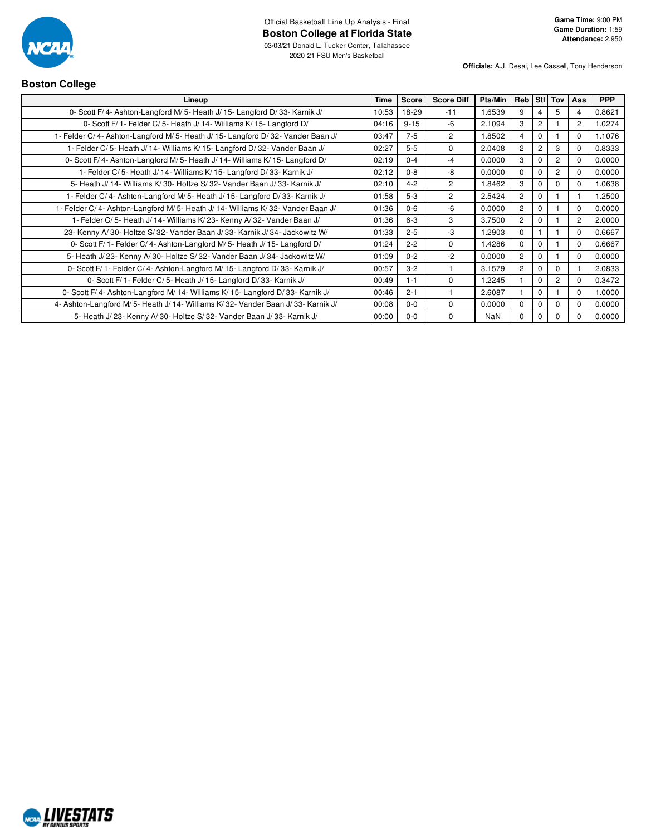

**Officials:** A.J. Desai, Lee Cassell, Tony Henderson

## **Boston College**

| Lineup                                                                         | Time  | Score    | <b>Score Diff</b> | Pts/Min    | Reb Stl Tov    |             |                | Ass            | <b>PPP</b> |
|--------------------------------------------------------------------------------|-------|----------|-------------------|------------|----------------|-------------|----------------|----------------|------------|
| 0- Scott F/4- Ashton-Langford M/5- Heath J/15- Langford D/33- Karnik J/        | 10:53 | 18-29    | $-11$             | 1.6539     | 9              | 4           | 5              | 4              | 0.8621     |
| 0- Scott F/ 1- Felder C/ 5- Heath J/ 14- Williams K/ 15- Langford D/           | 04:16 | $9 - 15$ | $-6$              | 2.1094     | 3              | 2           |                | 2              | 1.0274     |
| 1- Felder C/4- Ashton-Langford M/5- Heath J/15- Langford D/32- Vander Baan J/  | 03:47 | $7-5$    | $\overline{c}$    | 1.8502     | 4              | $\Omega$    |                | $\Omega$       | 1.1076     |
| 1- Felder C/5- Heath J/14- Williams K/15- Langford D/32- Vander Baan J/        | 02:27 | $5-5$    | $\Omega$          | 2.0408     | $\overline{2}$ | 2           | 3              | $\Omega$       | 0.8333     |
| 0- Scott F/4- Ashton-Langford M/5- Heath J/14- Williams K/15- Langford D/      | 02:19 | $0 - 4$  | $-4$              | 0.0000     | 3              | $\Omega$    | $\overline{2}$ | $\Omega$       | 0.0000     |
| 1- Felder C/5- Heath J/14- Williams K/15- Langford D/33- Karnik J/             | 02:12 | $0 - 8$  | -8                | 0.0000     | $\Omega$       | $\Omega$    | 2              | $\Omega$       | 0.0000     |
| 5- Heath J/ 14- Williams K/ 30- Holtze S/ 32- Vander Baan J/ 33- Karnik J/     | 02:10 | $4 - 2$  | $\overline{2}$    | 1.8462     | 3              | $\Omega$    | <sup>0</sup>   | $\Omega$       | 1.0638     |
| 1- Felder C/4- Ashton-Langford M/5- Heath J/15- Langford D/33- Karnik J/       | 01:58 | $5 - 3$  | 2                 | 2.5424     | $\overline{2}$ | $\Omega$    |                |                | 1.2500     |
| 1- Felder C/4- Ashton-Langford M/5- Heath J/14- Williams K/32- Vander Baan J/  | 01:36 | $0-6$    | -6                | 0.0000     | $\overline{2}$ | $\Omega$    |                | $\Omega$       | 0.0000     |
| 1- Felder C/5- Heath J/14- Williams K/23- Kenny A/32- Vander Baan J/           | 01:36 | $6 - 3$  | 3                 | 3.7500     | $\overline{c}$ | $\Omega$    |                | $\overline{2}$ | 2.0000     |
| 23- Kenny A/30- Holtze S/32- Vander Baan J/33- Karnik J/34- Jackowitz W/       | 01:33 | $2 - 5$  | $-3$              | 1.2903     | $\Omega$       |             |                | $\Omega$       | 0.6667     |
| 0- Scott F/ 1- Felder C/ 4- Ashton-Langford M/ 5- Heath J/ 15- Langford D/     | 01:24 | $2 - 2$  | 0                 | 1.4286     | $\Omega$       | $\Omega$    |                | $\Omega$       | 0.6667     |
| 5- Heath J/23- Kenny A/30- Holtze S/32- Vander Baan J/34- Jackowitz W/         | 01:09 | $0 - 2$  | $-2$              | 0.0000     | $\overline{2}$ | $\Omega$    |                | $\Omega$       | 0.0000     |
| 0- Scott F/ 1- Felder C/ 4- Ashton-Langford M/ 15- Langford D/ 33- Karnik J/   | 00:57 | $3 - 2$  |                   | 3.1579     | $\overline{c}$ | $\Omega$    | $\Omega$       |                | 2.0833     |
| 0- Scott F/ 1- Felder C/ 5- Heath J/ 15- Langford D/ 33- Karnik J/             | 00:49 | $1 - 1$  | 0                 | 1.2245     |                | $\mathbf 0$ | 2              | $\Omega$       | 0.3472     |
| 0- Scott F/4- Ashton-Langford M/14- Williams K/15- Langford D/33- Karnik J/    | 00:46 | $2 - 1$  |                   | 2.6087     |                | $\Omega$    |                | $\Omega$       | 1.0000     |
| 4- Ashton-Langford M/5- Heath J/14- Williams K/32- Vander Baan J/33- Karnik J/ | 00:08 | $0 - 0$  | 0                 | 0.0000     | $\Omega$       | $\mathbf 0$ | $\Omega$       | $\Omega$       | 0.0000     |
| 5- Heath J/ 23- Kenny A/ 30- Holtze S/ 32- Vander Baan J/ 33- Karnik J/        | 00:00 | $0 - 0$  | $\Omega$          | <b>NaN</b> | $\Omega$       | $\Omega$    | <sup>0</sup>   | $\Omega$       | 0.0000     |